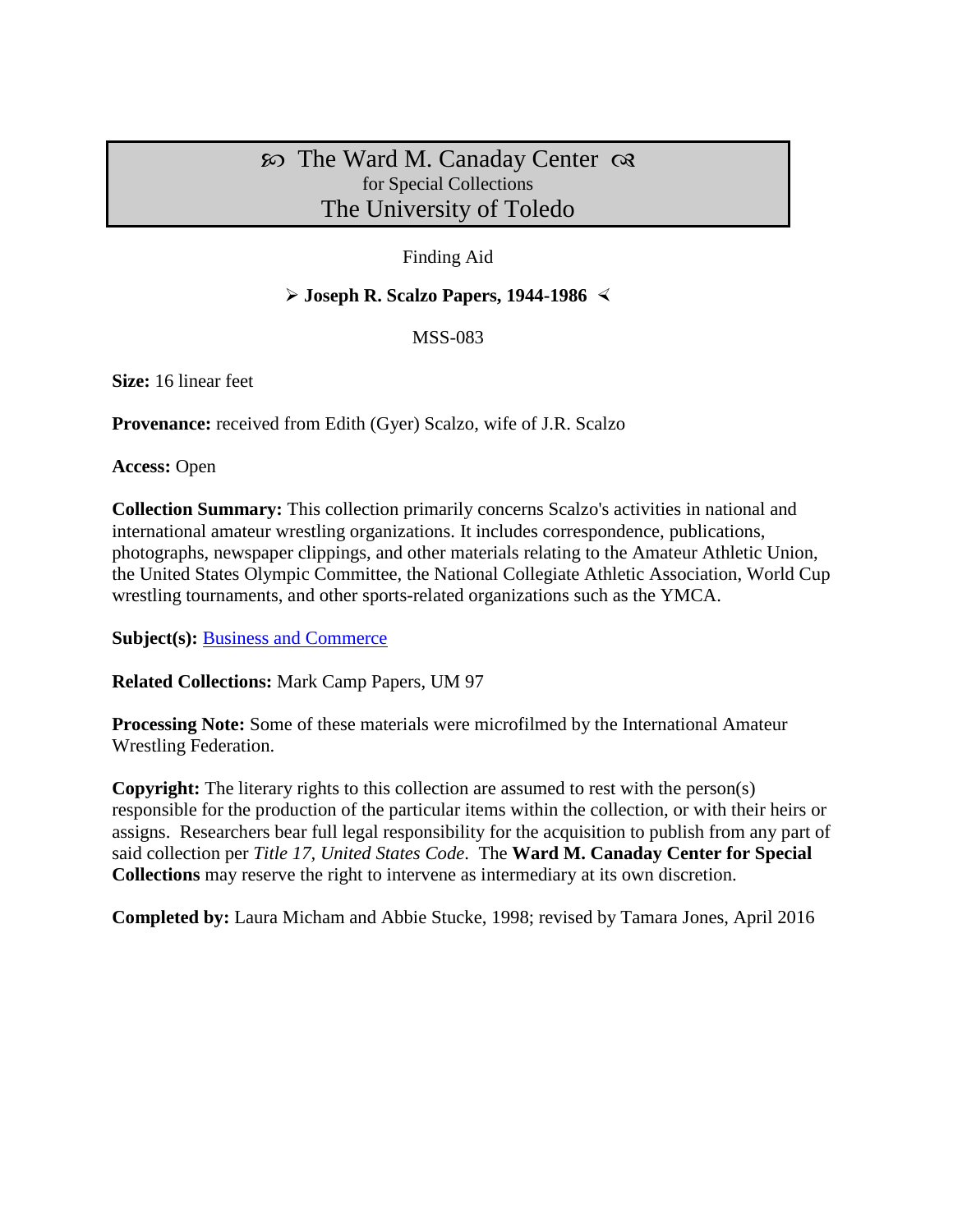# $\infty$  The Ward M. Canaday Center  $\infty$ for Special Collections The University of Toledo

# Finding Aid

# **Joseph R. Scalzo Papers, 1944-1986**

MSS-083

**Size:** 16 linear feet

**Provenance:** received from Edith (Gyer) Scalzo, wife of J.R. Scalzo

**Access:** Open

**Collection Summary:** This collection primarily concerns Scalzo's activities in national and international amateur wrestling organizations. It includes correspondence, publications, photographs, newspaper clippings, and other materials relating to the Amateur Athletic Union, the United States Olympic Committee, the National Collegiate Athletic Association, World Cup wrestling tournaments, and other sports-related organizations such as the YMCA.

**Subject(s):** [Business and Commerce](http://www.utoledo.edu/library/canaday/guidepages/business.html)

**Related Collections:** Mark Camp Papers, UM 97

**Processing Note:** Some of these materials were microfilmed by the International Amateur Wrestling Federation.

**Copyright:** The literary rights to this collection are assumed to rest with the person(s) responsible for the production of the particular items within the collection, or with their heirs or assigns. Researchers bear full legal responsibility for the acquisition to publish from any part of said collection per *Title 17, United States Code*. The **Ward M. Canaday Center for Special Collections** may reserve the right to intervene as intermediary at its own discretion.

**Completed by:** Laura Micham and Abbie Stucke, 1998; revised by Tamara Jones, April 2016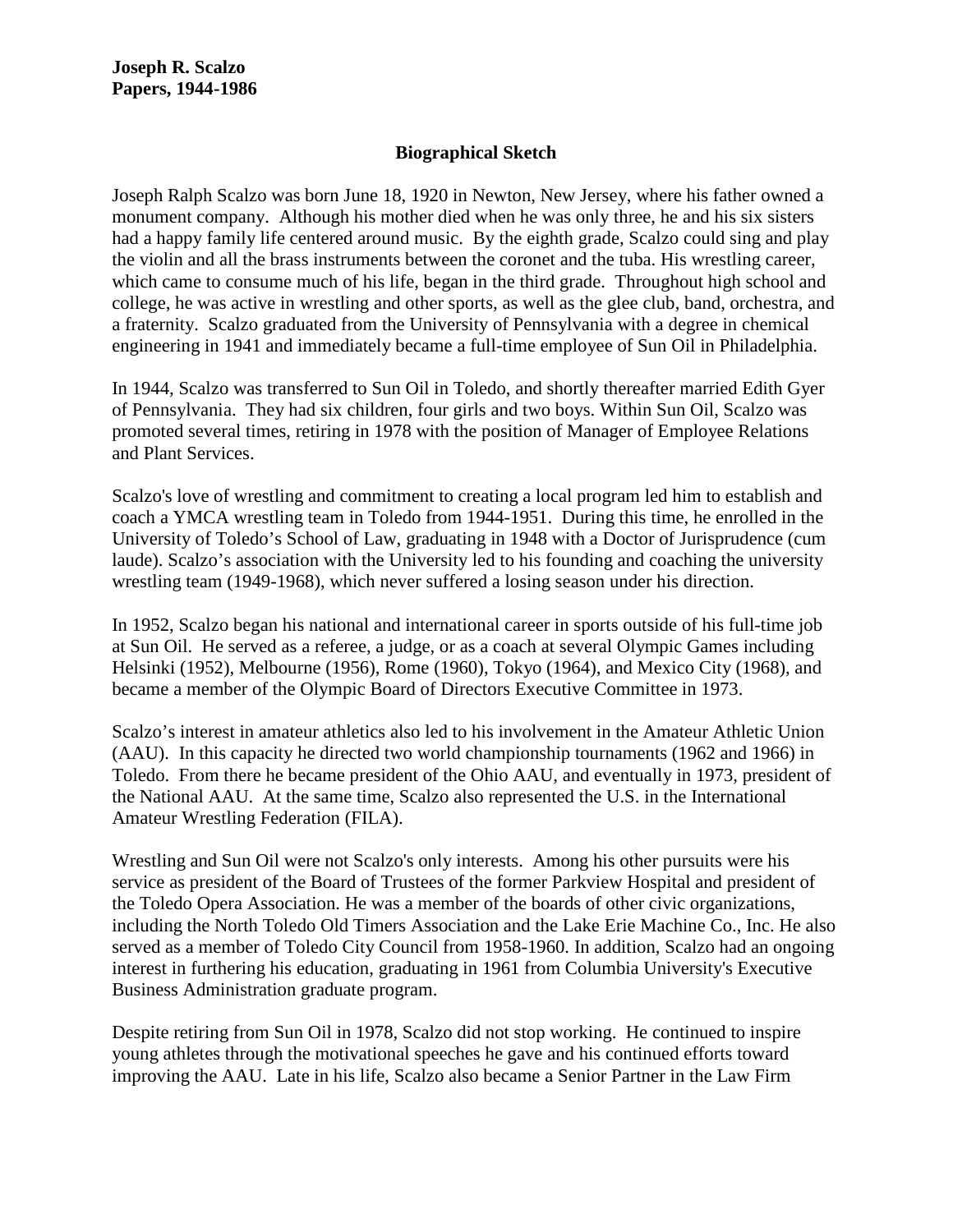# **Biographical Sketch**

Joseph Ralph Scalzo was born June 18, 1920 in Newton, New Jersey, where his father owned a monument company. Although his mother died when he was only three, he and his six sisters had a happy family life centered around music. By the eighth grade, Scalzo could sing and play the violin and all the brass instruments between the coronet and the tuba. His wrestling career, which came to consume much of his life, began in the third grade. Throughout high school and college, he was active in wrestling and other sports, as well as the glee club, band, orchestra, and a fraternity. Scalzo graduated from the University of Pennsylvania with a degree in chemical engineering in 1941 and immediately became a full-time employee of Sun Oil in Philadelphia.

In 1944, Scalzo was transferred to Sun Oil in Toledo, and shortly thereafter married Edith Gyer of Pennsylvania. They had six children, four girls and two boys. Within Sun Oil, Scalzo was promoted several times, retiring in 1978 with the position of Manager of Employee Relations and Plant Services.

Scalzo's love of wrestling and commitment to creating a local program led him to establish and coach a YMCA wrestling team in Toledo from 1944-1951. During this time, he enrolled in the University of Toledo's School of Law, graduating in 1948 with a Doctor of Jurisprudence (cum laude). Scalzo's association with the University led to his founding and coaching the university wrestling team (1949-1968), which never suffered a losing season under his direction.

In 1952, Scalzo began his national and international career in sports outside of his full-time job at Sun Oil. He served as a referee, a judge, or as a coach at several Olympic Games including Helsinki (1952), Melbourne (1956), Rome (1960), Tokyo (1964), and Mexico City (1968), and became a member of the Olympic Board of Directors Executive Committee in 1973.

Scalzo's interest in amateur athletics also led to his involvement in the Amateur Athletic Union (AAU). In this capacity he directed two world championship tournaments (1962 and 1966) in Toledo. From there he became president of the Ohio AAU, and eventually in 1973, president of the National AAU. At the same time, Scalzo also represented the U.S. in the International Amateur Wrestling Federation (FILA).

Wrestling and Sun Oil were not Scalzo's only interests. Among his other pursuits were his service as president of the Board of Trustees of the former Parkview Hospital and president of the Toledo Opera Association. He was a member of the boards of other civic organizations, including the North Toledo Old Timers Association and the Lake Erie Machine Co., Inc. He also served as a member of Toledo City Council from 1958-1960. In addition, Scalzo had an ongoing interest in furthering his education, graduating in 1961 from Columbia University's Executive Business Administration graduate program.

Despite retiring from Sun Oil in 1978, Scalzo did not stop working. He continued to inspire young athletes through the motivational speeches he gave and his continued efforts toward improving the AAU. Late in his life, Scalzo also became a Senior Partner in the Law Firm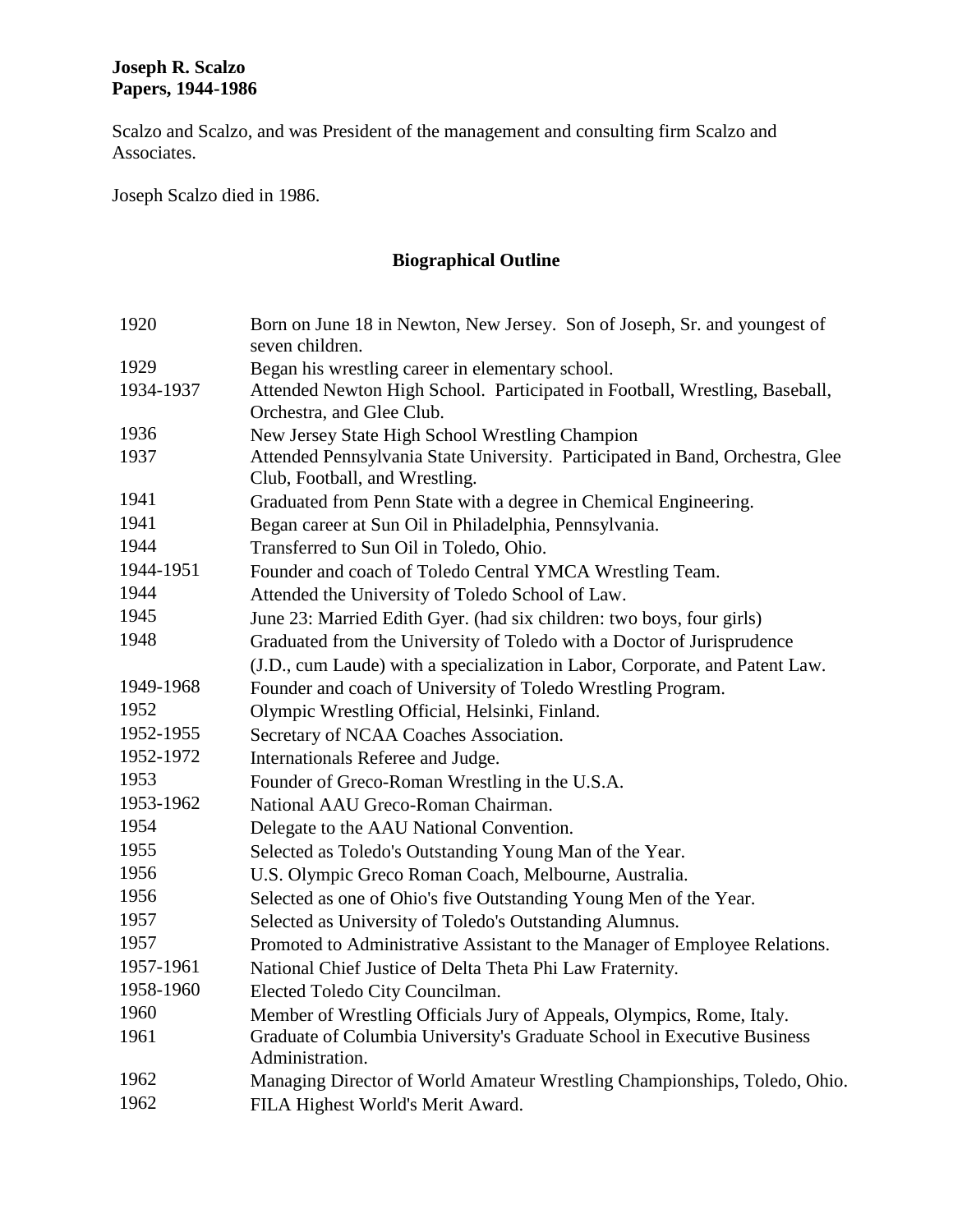Scalzo and Scalzo, and was President of the management and consulting firm Scalzo and Associates.

Joseph Scalzo died in 1986.

# **Biographical Outline**

| 1920      | Born on June 18 in Newton, New Jersey. Son of Joseph, Sr. and youngest of<br>seven children.                    |  |  |  |
|-----------|-----------------------------------------------------------------------------------------------------------------|--|--|--|
| 1929      | Began his wrestling career in elementary school.                                                                |  |  |  |
| 1934-1937 | Attended Newton High School. Participated in Football, Wrestling, Baseball,                                     |  |  |  |
|           | Orchestra, and Glee Club.                                                                                       |  |  |  |
| 1936      | New Jersey State High School Wrestling Champion                                                                 |  |  |  |
| 1937      | Attended Pennsylvania State University. Participated in Band, Orchestra, Glee<br>Club, Football, and Wrestling. |  |  |  |
| 1941      | Graduated from Penn State with a degree in Chemical Engineering.                                                |  |  |  |
| 1941      | Began career at Sun Oil in Philadelphia, Pennsylvania.                                                          |  |  |  |
| 1944      | Transferred to Sun Oil in Toledo, Ohio.                                                                         |  |  |  |
| 1944-1951 | Founder and coach of Toledo Central YMCA Wrestling Team.                                                        |  |  |  |
| 1944      | Attended the University of Toledo School of Law.                                                                |  |  |  |
| 1945      | June 23: Married Edith Gyer. (had six children: two boys, four girls)                                           |  |  |  |
| 1948      | Graduated from the University of Toledo with a Doctor of Jurisprudence                                          |  |  |  |
|           | (J.D., cum Laude) with a specialization in Labor, Corporate, and Patent Law.                                    |  |  |  |
| 1949-1968 | Founder and coach of University of Toledo Wrestling Program.                                                    |  |  |  |
| 1952      | Olympic Wrestling Official, Helsinki, Finland.                                                                  |  |  |  |
| 1952-1955 | Secretary of NCAA Coaches Association.                                                                          |  |  |  |
| 1952-1972 | Internationals Referee and Judge.                                                                               |  |  |  |
| 1953      | Founder of Greco-Roman Wrestling in the U.S.A.                                                                  |  |  |  |
| 1953-1962 | National AAU Greco-Roman Chairman.                                                                              |  |  |  |
| 1954      | Delegate to the AAU National Convention.                                                                        |  |  |  |
| 1955      | Selected as Toledo's Outstanding Young Man of the Year.                                                         |  |  |  |
| 1956      | U.S. Olympic Greco Roman Coach, Melbourne, Australia.                                                           |  |  |  |
| 1956      | Selected as one of Ohio's five Outstanding Young Men of the Year.                                               |  |  |  |
| 1957      | Selected as University of Toledo's Outstanding Alumnus.                                                         |  |  |  |
| 1957      | Promoted to Administrative Assistant to the Manager of Employee Relations.                                      |  |  |  |
| 1957-1961 | National Chief Justice of Delta Theta Phi Law Fraternity.                                                       |  |  |  |
| 1958-1960 | Elected Toledo City Councilman.                                                                                 |  |  |  |
| 1960      | Member of Wrestling Officials Jury of Appeals, Olympics, Rome, Italy.                                           |  |  |  |
| 1961      | Graduate of Columbia University's Graduate School in Executive Business<br>Administration.                      |  |  |  |
| 1962      | Managing Director of World Amateur Wrestling Championships, Toledo, Ohio.                                       |  |  |  |
| 1962      | FILA Highest World's Merit Award.                                                                               |  |  |  |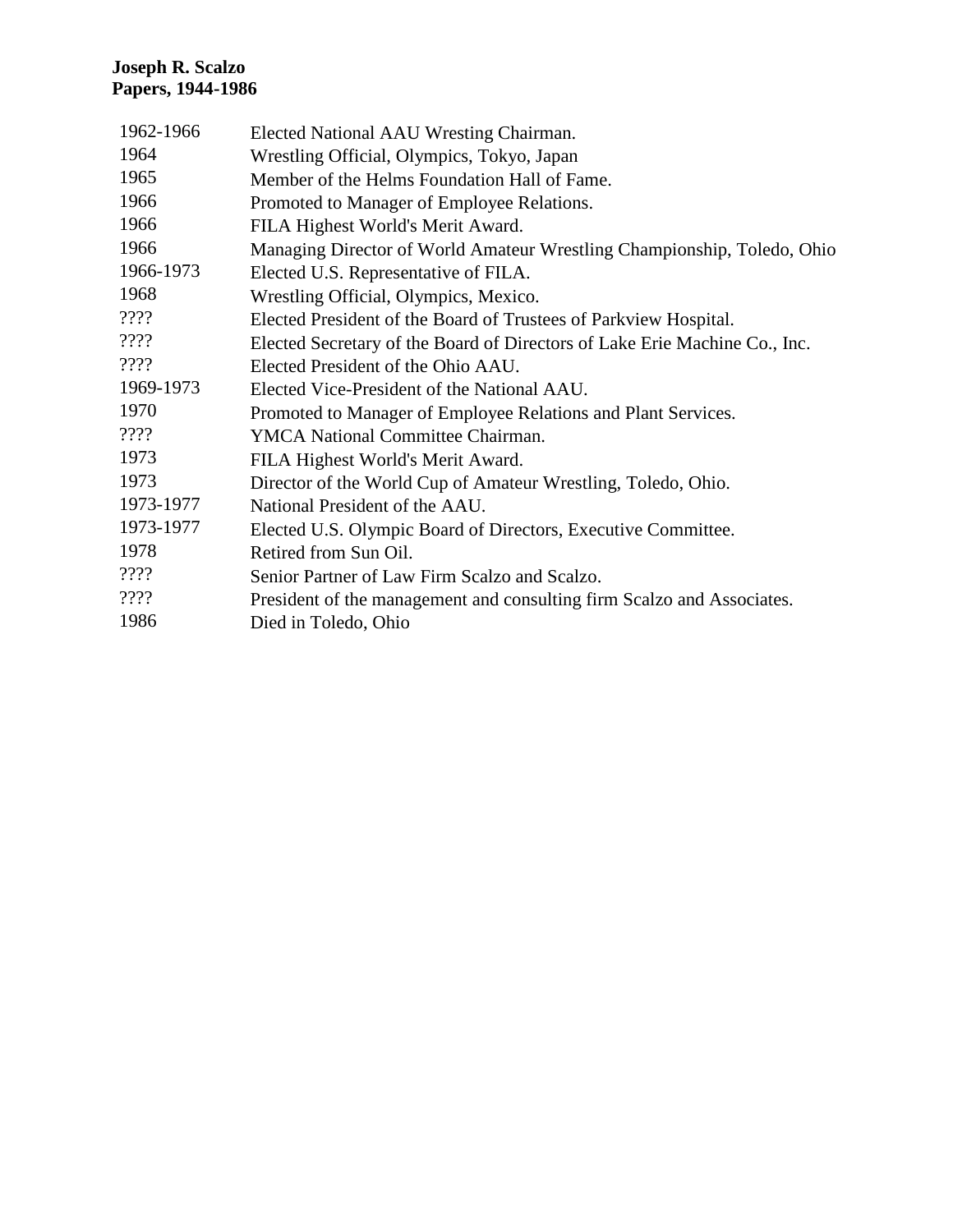| Elected National AAU Wresting Chairman.                                    |
|----------------------------------------------------------------------------|
| Wrestling Official, Olympics, Tokyo, Japan                                 |
| Member of the Helms Foundation Hall of Fame.                               |
| Promoted to Manager of Employee Relations.                                 |
| FILA Highest World's Merit Award.                                          |
| Managing Director of World Amateur Wrestling Championship, Toledo, Ohio    |
| Elected U.S. Representative of FILA.                                       |
| Wrestling Official, Olympics, Mexico.                                      |
| Elected President of the Board of Trustees of Parkview Hospital.           |
| Elected Secretary of the Board of Directors of Lake Erie Machine Co., Inc. |
| Elected President of the Ohio AAU.                                         |
| Elected Vice-President of the National AAU.                                |
| Promoted to Manager of Employee Relations and Plant Services.              |
| YMCA National Committee Chairman.                                          |
| FILA Highest World's Merit Award.                                          |
| Director of the World Cup of Amateur Wrestling, Toledo, Ohio.              |
| National President of the AAU.                                             |
| Elected U.S. Olympic Board of Directors, Executive Committee.              |
| Retired from Sun Oil.                                                      |
| Senior Partner of Law Firm Scalzo and Scalzo.                              |
| President of the management and consulting firm Scalzo and Associates.     |
| Died in Toledo, Ohio                                                       |
|                                                                            |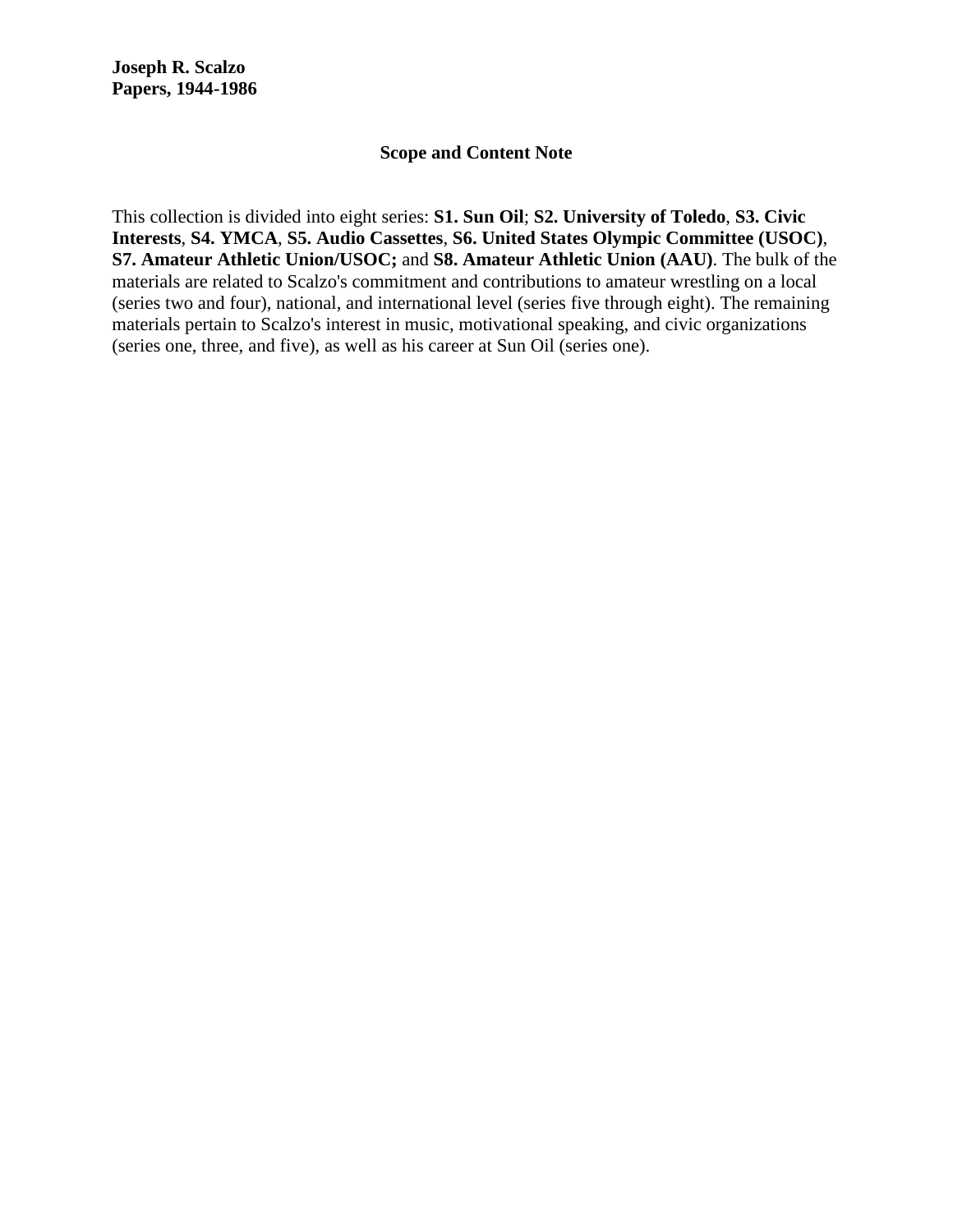#### **Scope and Content Note**

This collection is divided into eight series: **S1. Sun Oil**; **S2. University of Toledo**, **S3. Civic Interests**, **S4. YMCA**, **S5. Audio Cassettes**, **S6. United States Olympic Committee (USOC)**, **S7. Amateur Athletic Union/USOC;** and **S8. Amateur Athletic Union (AAU)**. The bulk of the materials are related to Scalzo's commitment and contributions to amateur wrestling on a local (series two and four), national, and international level (series five through eight). The remaining materials pertain to Scalzo's interest in music, motivational speaking, and civic organizations (series one, three, and five), as well as his career at Sun Oil (series one).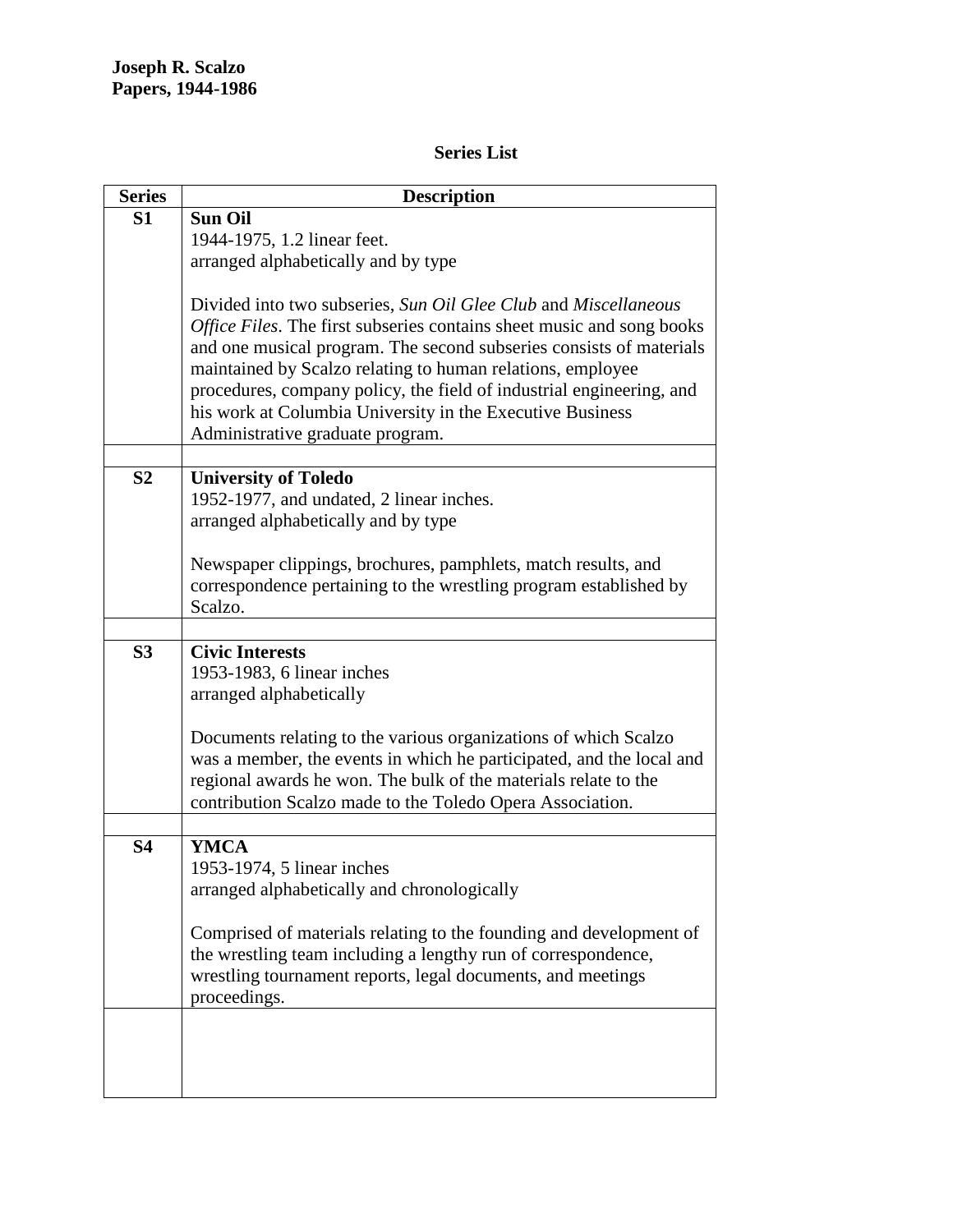# **Series List**

| <b>Series</b>  | <b>Description</b>                                                                                                                 |  |  |  |
|----------------|------------------------------------------------------------------------------------------------------------------------------------|--|--|--|
| S <sub>1</sub> | <b>Sun Oil</b>                                                                                                                     |  |  |  |
|                | 1944-1975, 1.2 linear feet.                                                                                                        |  |  |  |
|                | arranged alphabetically and by type                                                                                                |  |  |  |
|                |                                                                                                                                    |  |  |  |
|                | Divided into two subseries, Sun Oil Glee Club and Miscellaneous                                                                    |  |  |  |
|                | Office Files. The first subseries contains sheet music and song books                                                              |  |  |  |
|                | and one musical program. The second subseries consists of materials                                                                |  |  |  |
|                | maintained by Scalzo relating to human relations, employee<br>procedures, company policy, the field of industrial engineering, and |  |  |  |
|                | his work at Columbia University in the Executive Business                                                                          |  |  |  |
|                | Administrative graduate program.                                                                                                   |  |  |  |
|                |                                                                                                                                    |  |  |  |
| S <sub>2</sub> | <b>University of Toledo</b>                                                                                                        |  |  |  |
|                | 1952-1977, and undated, 2 linear inches.                                                                                           |  |  |  |
|                | arranged alphabetically and by type                                                                                                |  |  |  |
|                |                                                                                                                                    |  |  |  |
|                | Newspaper clippings, brochures, pamphlets, match results, and                                                                      |  |  |  |
|                | correspondence pertaining to the wrestling program established by                                                                  |  |  |  |
|                | Scalzo.                                                                                                                            |  |  |  |
|                |                                                                                                                                    |  |  |  |
| S <sub>3</sub> | <b>Civic Interests</b>                                                                                                             |  |  |  |
|                | 1953-1983, 6 linear inches                                                                                                         |  |  |  |
|                | arranged alphabetically                                                                                                            |  |  |  |
|                | Documents relating to the various organizations of which Scalzo                                                                    |  |  |  |
|                | was a member, the events in which he participated, and the local and                                                               |  |  |  |
|                | regional awards he won. The bulk of the materials relate to the                                                                    |  |  |  |
|                | contribution Scalzo made to the Toledo Opera Association.                                                                          |  |  |  |
|                |                                                                                                                                    |  |  |  |
| <b>S4</b>      | <b>YMCA</b>                                                                                                                        |  |  |  |
|                | 1953-1974, 5 linear inches                                                                                                         |  |  |  |
|                | arranged alphabetically and chronologically                                                                                        |  |  |  |
|                |                                                                                                                                    |  |  |  |
|                | Comprised of materials relating to the founding and development of                                                                 |  |  |  |
|                | the wrestling team including a lengthy run of correspondence,                                                                      |  |  |  |
|                | wrestling tournament reports, legal documents, and meetings                                                                        |  |  |  |
|                | proceedings.                                                                                                                       |  |  |  |
|                |                                                                                                                                    |  |  |  |
|                |                                                                                                                                    |  |  |  |
|                |                                                                                                                                    |  |  |  |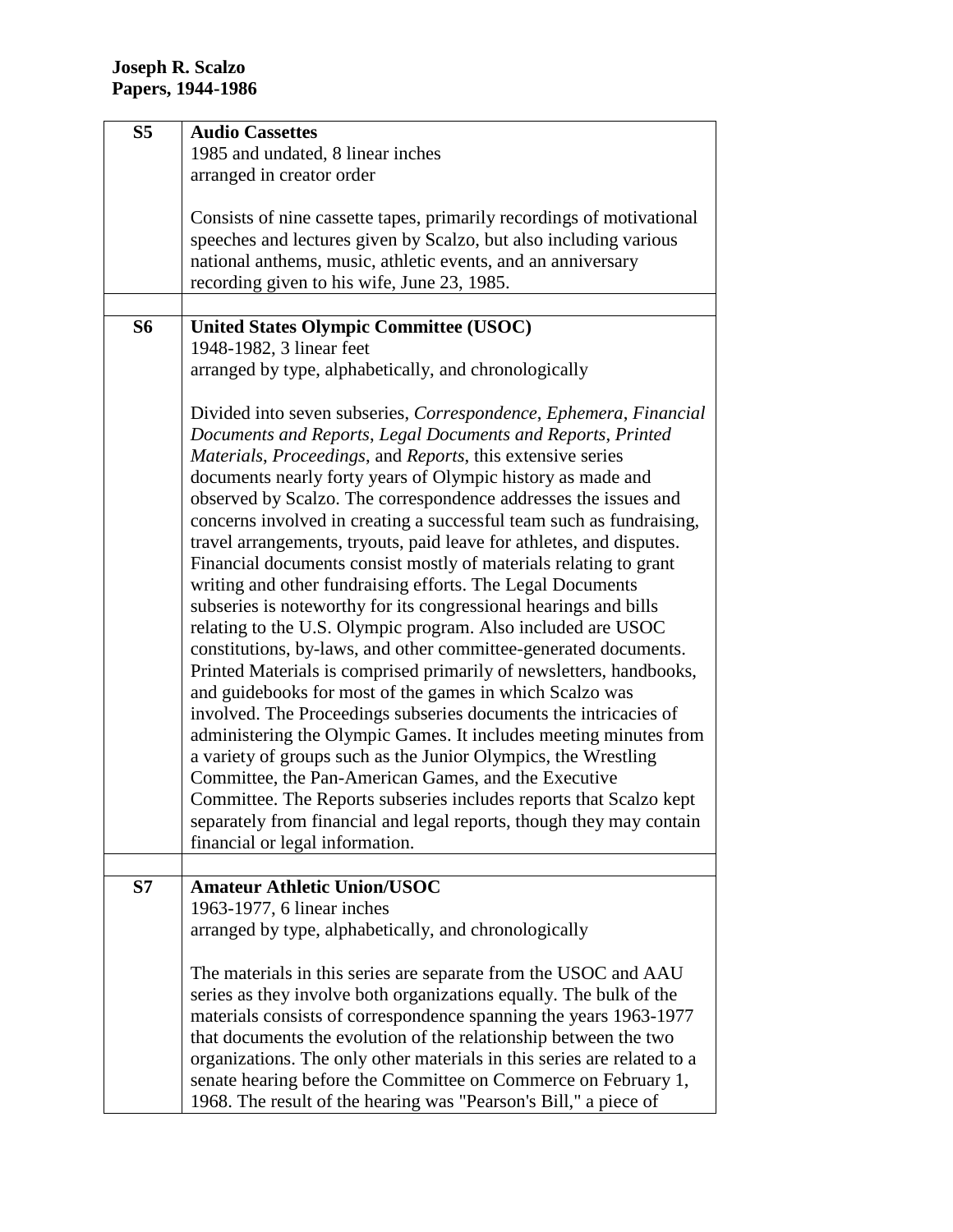| S <sub>5</sub> | <b>Audio Cassettes</b>                                                  |
|----------------|-------------------------------------------------------------------------|
|                | 1985 and undated, 8 linear inches                                       |
|                | arranged in creator order                                               |
|                |                                                                         |
|                | Consists of nine cassette tapes, primarily recordings of motivational   |
|                | speeches and lectures given by Scalzo, but also including various       |
|                | national anthems, music, athletic events, and an anniversary            |
|                |                                                                         |
|                | recording given to his wife, June 23, 1985.                             |
|                |                                                                         |
| <b>S6</b>      | <b>United States Olympic Committee (USOC)</b>                           |
|                | 1948-1982, 3 linear feet                                                |
|                | arranged by type, alphabetically, and chronologically                   |
|                |                                                                         |
|                | Divided into seven subseries, Correspondence, Ephemera, Financial       |
|                | Documents and Reports, Legal Documents and Reports, Printed             |
|                | Materials, Proceedings, and Reports, this extensive series              |
|                | documents nearly forty years of Olympic history as made and             |
|                | observed by Scalzo. The correspondence addresses the issues and         |
|                |                                                                         |
|                | concerns involved in creating a successful team such as fundraising,    |
|                | travel arrangements, tryouts, paid leave for athletes, and disputes.    |
|                | Financial documents consist mostly of materials relating to grant       |
|                | writing and other fundraising efforts. The Legal Documents              |
|                | subseries is noteworthy for its congressional hearings and bills        |
|                | relating to the U.S. Olympic program. Also included are USOC            |
|                | constitutions, by-laws, and other committee-generated documents.        |
|                | Printed Materials is comprised primarily of newsletters, handbooks,     |
|                | and guidebooks for most of the games in which Scalzo was                |
|                | involved. The Proceedings subseries documents the intricacies of        |
|                | administering the Olympic Games. It includes meeting minutes from       |
|                |                                                                         |
|                | a variety of groups such as the Junior Olympics, the Wrestling          |
|                | Committee, the Pan-American Games, and the Executive                    |
|                | Committee. The Reports subseries includes reports that Scalzo kept      |
|                | separately from financial and legal reports, though they may contain    |
|                | financial or legal information.                                         |
|                |                                                                         |
| S7             | <b>Amateur Athletic Union/USOC</b>                                      |
|                | 1963-1977, 6 linear inches                                              |
|                | arranged by type, alphabetically, and chronologically                   |
|                |                                                                         |
|                | The materials in this series are separate from the USOC and AAU         |
|                | series as they involve both organizations equally. The bulk of the      |
|                |                                                                         |
|                | materials consists of correspondence spanning the years 1963-1977       |
|                | that documents the evolution of the relationship between the two        |
|                | organizations. The only other materials in this series are related to a |
|                | senate hearing before the Committee on Commerce on February 1,          |
|                | 1968. The result of the hearing was "Pearson's Bill," a piece of        |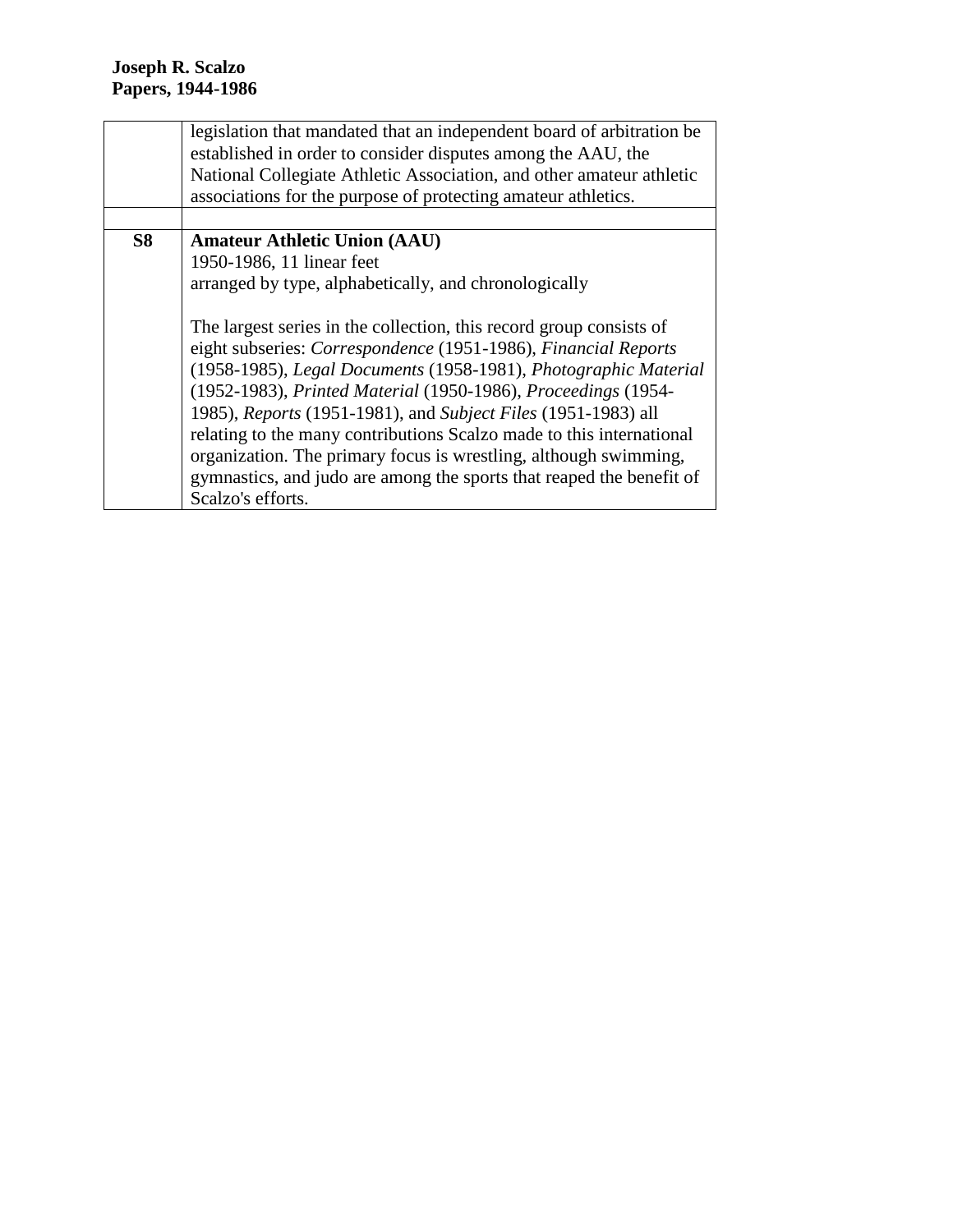|           | legislation that mandated that an independent board of arbitration be       |  |
|-----------|-----------------------------------------------------------------------------|--|
|           | established in order to consider disputes among the AAU, the                |  |
|           | National Collegiate Athletic Association, and other amateur athletic        |  |
|           | associations for the purpose of protecting amateur athletics.               |  |
|           |                                                                             |  |
| <b>S8</b> | <b>Amateur Athletic Union (AAU)</b>                                         |  |
|           | 1950-1986, 11 linear feet                                                   |  |
|           | arranged by type, alphabetically, and chronologically                       |  |
|           |                                                                             |  |
|           | The largest series in the collection, this record group consists of         |  |
|           | eight subseries: Correspondence (1951-1986), Financial Reports              |  |
|           | (1958-1985), Legal Documents (1958-1981), Photographic Material             |  |
|           | (1952-1983), Printed Material (1950-1986), Proceedings (1954-               |  |
|           | 1985), <i>Reports</i> (1951-1981), and <i>Subject Files</i> (1951-1983) all |  |
|           | relating to the many contributions Scalzo made to this international        |  |
|           | organization. The primary focus is wrestling, although swimming,            |  |
|           | gymnastics, and judo are among the sports that reaped the benefit of        |  |
|           | Scalzo's efforts.                                                           |  |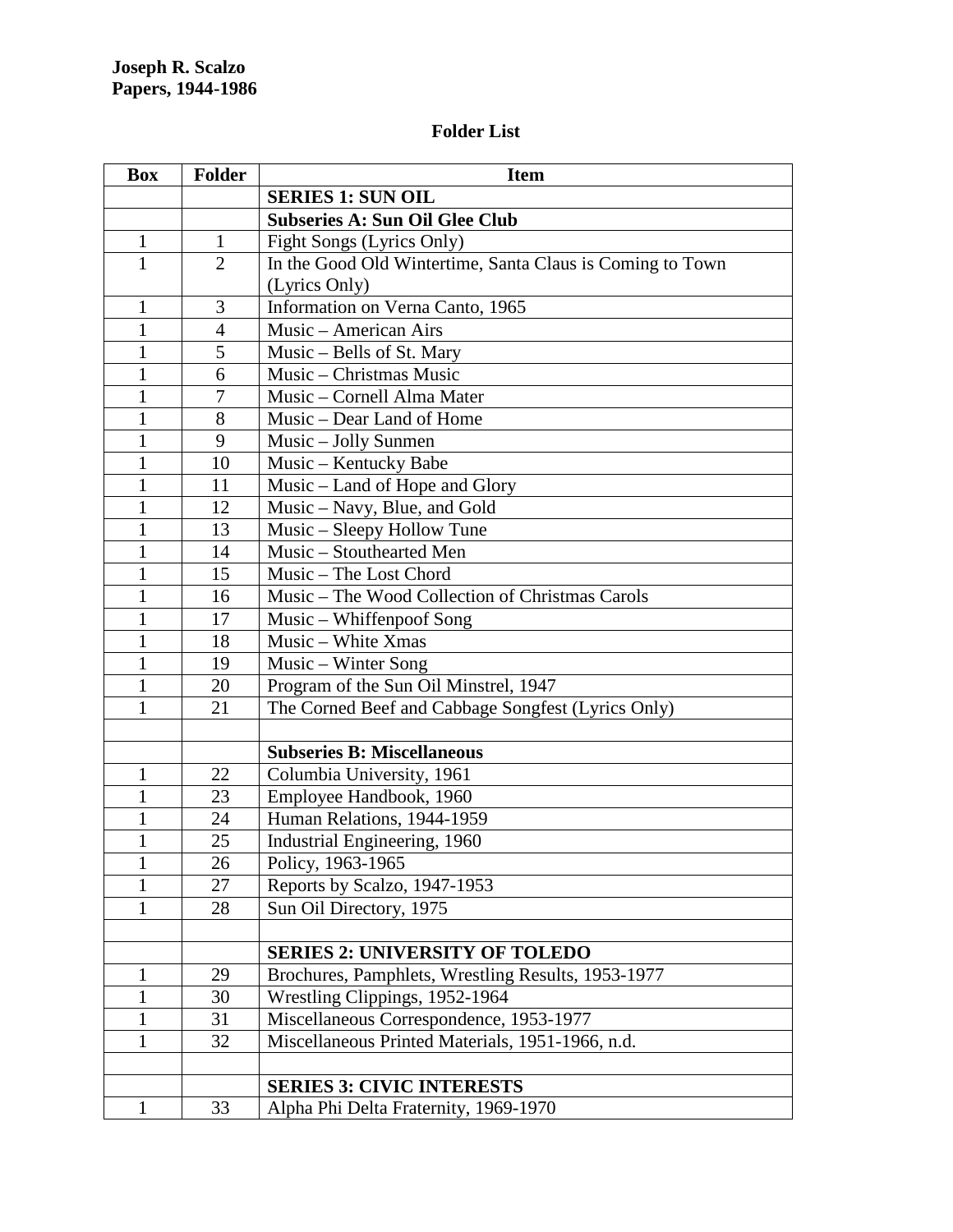# **Folder List**

| <b>Box</b>   | <b>Folder</b>  | <b>Item</b>                                               |
|--------------|----------------|-----------------------------------------------------------|
|              |                | <b>SERIES 1: SUN OIL</b>                                  |
|              |                | <b>Subseries A: Sun Oil Glee Club</b>                     |
| $\mathbf{1}$ | $\mathbf{1}$   | Fight Songs (Lyrics Only)                                 |
| $\mathbf{1}$ | $\overline{2}$ | In the Good Old Wintertime, Santa Claus is Coming to Town |
|              |                | (Lyrics Only)                                             |
| 1            | 3              | Information on Verna Canto, 1965                          |
| $\mathbf{1}$ | 4              | Music – American Airs                                     |
| $\mathbf{1}$ | 5              | Music – Bells of St. Mary                                 |
| $\mathbf{1}$ | 6              | Music - Christmas Music                                   |
| $\mathbf{1}$ | 7              | Music - Cornell Alma Mater                                |
| $\mathbf{1}$ | 8              | Music – Dear Land of Home                                 |
| $\mathbf{1}$ | 9              | Music – Jolly Sunmen                                      |
| $\mathbf{1}$ | 10             | Music - Kentucky Babe                                     |
| $\mathbf{1}$ | 11             | Music – Land of Hope and Glory                            |
| $\mathbf{1}$ | 12             | Music – Navy, Blue, and Gold                              |
| $\mathbf{1}$ | 13             | Music - Sleepy Hollow Tune                                |
| $\mathbf{1}$ | 14             | Music - Stouthearted Men                                  |
| $\mathbf{1}$ | 15             | Music - The Lost Chord                                    |
| $\mathbf{1}$ | 16             | Music - The Wood Collection of Christmas Carols           |
| 1            | 17             | Music – Whiffenpoof Song                                  |
| $\mathbf{1}$ | 18             | Music - White Xmas                                        |
| $\mathbf{1}$ | 19             | Music – Winter Song                                       |
| $\mathbf{1}$ | 20             | Program of the Sun Oil Minstrel, 1947                     |
| 1            | 21             | The Corned Beef and Cabbage Songfest (Lyrics Only)        |
|              |                |                                                           |
|              |                | <b>Subseries B: Miscellaneous</b>                         |
| 1            | 22             | Columbia University, 1961                                 |
| $\mathbf{1}$ | 23             | Employee Handbook, 1960                                   |
| $\mathbf{1}$ | 24             | Human Relations, 1944-1959                                |
| 1            | 25             | Industrial Engineering, 1960                              |
| 1            | 26             | Policy, 1963-1965                                         |
| 1            | 27             | Reports by Scalzo, 1947-1953                              |
| 1            | 28             | Sun Oil Directory, 1975                                   |
|              |                |                                                           |
|              |                | <b>SERIES 2: UNIVERSITY OF TOLEDO</b>                     |
| 1            | 29             | Brochures, Pamphlets, Wrestling Results, 1953-1977        |
| $\mathbf{1}$ | 30             | Wrestling Clippings, 1952-1964                            |
| $\mathbf{1}$ | 31             | Miscellaneous Correspondence, 1953-1977                   |
| 1            | 32             | Miscellaneous Printed Materials, 1951-1966, n.d.          |
|              |                |                                                           |
|              |                | <b>SERIES 3: CIVIC INTERESTS</b>                          |
| $\mathbf{1}$ | 33             | Alpha Phi Delta Fraternity, 1969-1970                     |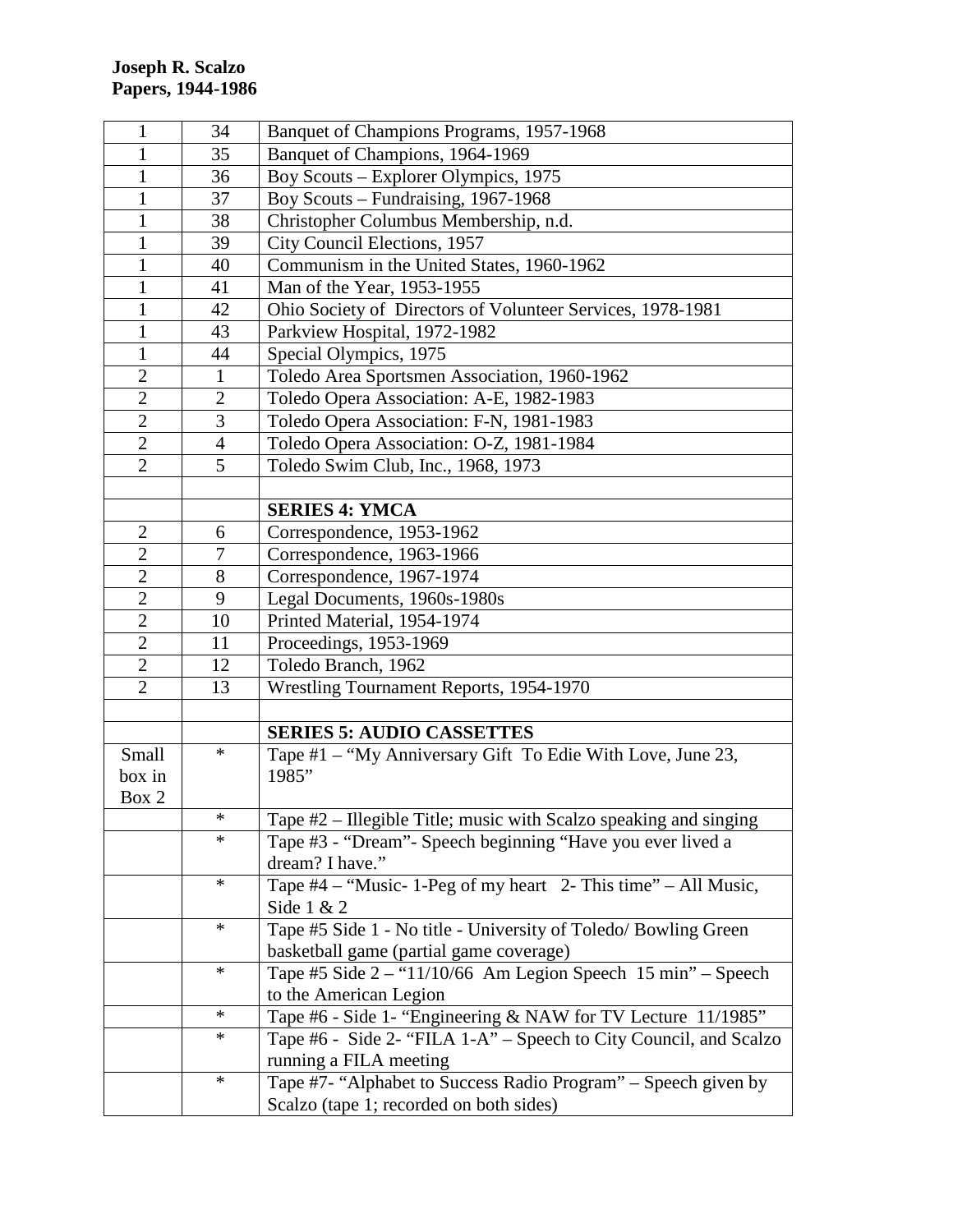| 1              | 34             | Banquet of Champions Programs, 1957-1968                          |
|----------------|----------------|-------------------------------------------------------------------|
| 1              | 35             | Banquet of Champions, 1964-1969                                   |
| $\mathbf{1}$   | 36             | Boy Scouts – Explorer Olympics, 1975                              |
| $\mathbf{1}$   | 37             | Boy Scouts – Fundraising, 1967-1968                               |
| $\mathbf{1}$   | 38             | Christopher Columbus Membership, n.d.                             |
| $\mathbf{1}$   | 39             | City Council Elections, 1957                                      |
| $\mathbf{1}$   | 40             | Communism in the United States, 1960-1962                         |
| $\mathbf{1}$   | 41             | Man of the Year, 1953-1955                                        |
| $\mathbf{1}$   | 42             | Ohio Society of Directors of Volunteer Services, 1978-1981        |
| $\mathbf{1}$   | 43             | Parkview Hospital, 1972-1982                                      |
| $\mathbf{1}$   | 44             | Special Olympics, 1975                                            |
| $\mathfrak{2}$ | $\mathbf{1}$   | Toledo Area Sportsmen Association, 1960-1962                      |
| $\mathbf{2}$   | $\overline{2}$ | Toledo Opera Association: A-E, 1982-1983                          |
| $\overline{2}$ | 3              | Toledo Opera Association: F-N, 1981-1983                          |
| $\overline{2}$ | $\overline{4}$ | Toledo Opera Association: O-Z, 1981-1984                          |
| $\overline{2}$ | 5              | Toledo Swim Club, Inc., 1968, 1973                                |
|                |                |                                                                   |
|                |                | <b>SERIES 4: YMCA</b>                                             |
| $\overline{2}$ | 6              | Correspondence, 1953-1962                                         |
| $\overline{2}$ | $\tau$         | Correspondence, 1963-1966                                         |
| $\overline{2}$ | 8              | Correspondence, 1967-1974                                         |
| $\overline{2}$ | 9              | Legal Documents, 1960s-1980s                                      |
| $\overline{2}$ | 10             | Printed Material, 1954-1974                                       |
| $\overline{2}$ | 11             | Proceedings, 1953-1969                                            |
| $\overline{2}$ | 12             | Toledo Branch, 1962                                               |
| $\overline{2}$ | 13             | Wrestling Tournament Reports, 1954-1970                           |
|                |                |                                                                   |
|                |                | <b>SERIES 5: AUDIO CASSETTES</b>                                  |
| Small          | $\ast$         | Tape #1 – "My Anniversary Gift To Edie With Love, June 23,        |
| box in         |                | 1985"                                                             |
| Box 2          |                |                                                                   |
|                | ∗              | Tape #2 – Illegible Title; music with Scalzo speaking and singing |
|                | $\ast$         | Tape #3 - "Dream" - Speech beginning "Have you ever lived a       |
|                |                | dream? I have."                                                   |
|                | $\ast$         | Tape $#4$ – "Music- 1-Peg of my heart 2- This time" – All Music,  |
|                |                | Side $1 & 2$                                                      |
|                | $\ast$         | Tape #5 Side 1 - No title - University of Toledo/ Bowling Green   |
|                |                | basketball game (partial game coverage)                           |
|                | $\ast$         | Tape #5 Side $2 -$ "11/10/66 Am Legion Speech 15 min" - Speech    |
|                |                | to the American Legion                                            |
|                | $\ast$         | Tape #6 - Side 1- "Engineering & NAW for TV Lecture 11/1985"      |
|                | $\ast$         | Tape #6 - Side 2- "FILA 1-A" - Speech to City Council, and Scalzo |
|                |                | running a FILA meeting                                            |
|                | $\ast$         | Tape #7- "Alphabet to Success Radio Program" – Speech given by    |
|                |                | Scalzo (tape 1; recorded on both sides)                           |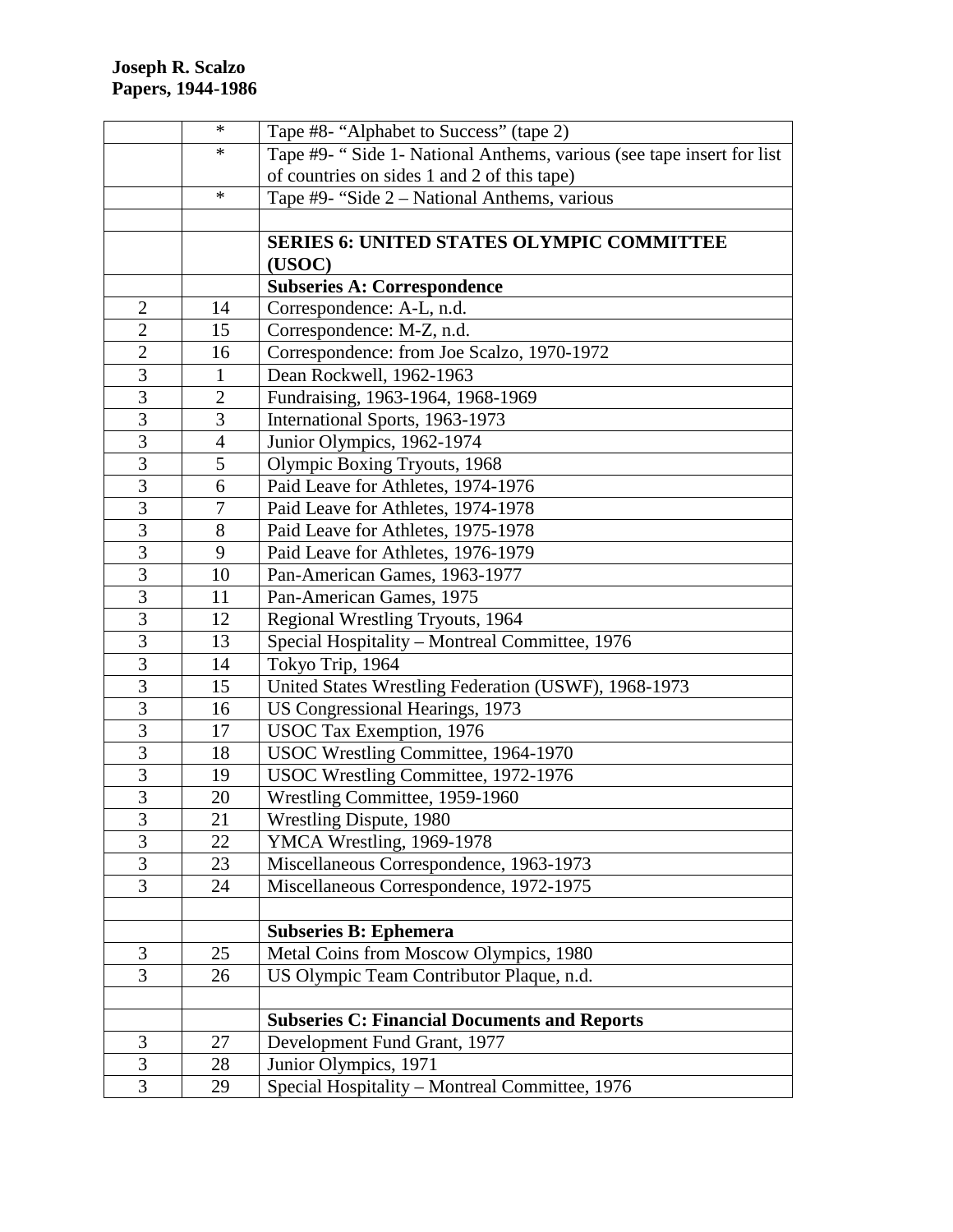|                | $\ast$         | Tape #8- "Alphabet to Success" (tape 2)                               |
|----------------|----------------|-----------------------------------------------------------------------|
|                | ∗              | Tape #9- "Side 1- National Anthems, various (see tape insert for list |
|                |                | of countries on sides 1 and 2 of this tape)                           |
|                | $\ast$         | Tape #9- "Side 2 - National Anthems, various                          |
|                |                |                                                                       |
|                |                | <b>SERIES 6: UNITED STATES OLYMPIC COMMITTEE</b>                      |
|                |                | (USOC)                                                                |
|                |                | <b>Subseries A: Correspondence</b>                                    |
| $\overline{c}$ | 14             | Correspondence: A-L, n.d.                                             |
| $\overline{c}$ | 15             | Correspondence: M-Z, n.d.                                             |
| $\overline{2}$ | 16             | Correspondence: from Joe Scalzo, 1970-1972                            |
| $\overline{3}$ | $\mathbf{1}$   | Dean Rockwell, 1962-1963                                              |
| $\overline{3}$ | $\overline{2}$ | Fundraising, 1963-1964, 1968-1969                                     |
| $\overline{3}$ | 3              | International Sports, 1963-1973                                       |
| $\overline{3}$ | $\overline{4}$ | Junior Olympics, 1962-1974                                            |
| $\overline{3}$ | 5              | Olympic Boxing Tryouts, 1968                                          |
| $\overline{3}$ | 6              | Paid Leave for Athletes, 1974-1976                                    |
| $\overline{3}$ | 7              | Paid Leave for Athletes, 1974-1978                                    |
| $\mathfrak{Z}$ | 8              | Paid Leave for Athletes, 1975-1978                                    |
| $\overline{3}$ | 9              | Paid Leave for Athletes, 1976-1979                                    |
| 3              | 10             | Pan-American Games, 1963-1977                                         |
| $\overline{3}$ | 11             | Pan-American Games, 1975                                              |
| 3              | 12             | Regional Wrestling Tryouts, 1964                                      |
| 3              | 13             | Special Hospitality – Montreal Committee, 1976                        |
| 3              | 14             | Tokyo Trip, 1964                                                      |
| $\overline{3}$ | 15             | United States Wrestling Federation (USWF), 1968-1973                  |
| $\overline{3}$ | 16             | US Congressional Hearings, 1973                                       |
| $\overline{3}$ | 17             | USOC Tax Exemption, 1976                                              |
| $\overline{3}$ | 18             | USOC Wrestling Committee, 1964-1970                                   |
| $\overline{3}$ | 19             | USOC Wrestling Committee, 1972-1976                                   |
| $\overline{3}$ | 20             | Wrestling Committee, 1959-1960                                        |
| $\mathfrak{Z}$ | 21             | Wrestling Dispute, 1980                                               |
| 3              | 22             | YMCA Wrestling, 1969-1978                                             |
| 3              | 23             | Miscellaneous Correspondence, 1963-1973                               |
| $\overline{3}$ | 24             | Miscellaneous Correspondence, 1972-1975                               |
|                |                |                                                                       |
|                |                | <b>Subseries B: Ephemera</b>                                          |
| 3              | 25             | Metal Coins from Moscow Olympics, 1980                                |
| $\overline{3}$ | 26             | US Olympic Team Contributor Plaque, n.d.                              |
|                |                |                                                                       |
|                |                | <b>Subseries C: Financial Documents and Reports</b>                   |
| 3              | 27             | Development Fund Grant, 1977                                          |
| $\overline{3}$ | 28             | Junior Olympics, 1971                                                 |
| 3              | 29             | Special Hospitality - Montreal Committee, 1976                        |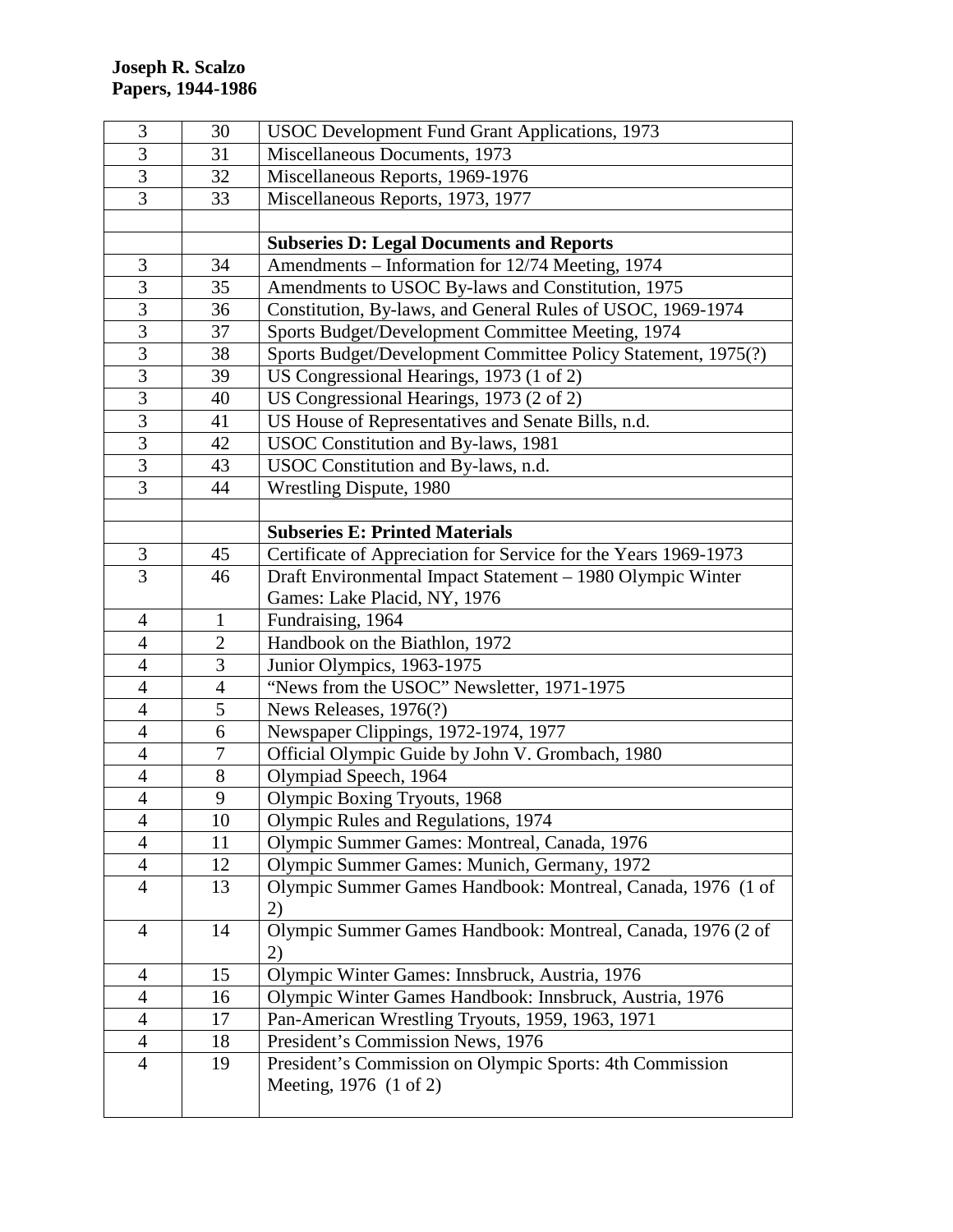| 3                       | 30             | <b>USOC Development Fund Grant Applications, 1973</b>           |
|-------------------------|----------------|-----------------------------------------------------------------|
| $\overline{3}$          | 31             | Miscellaneous Documents, 1973                                   |
| $\overline{3}$          | 32             | Miscellaneous Reports, 1969-1976                                |
| $\overline{3}$          | 33             | Miscellaneous Reports, 1973, 1977                               |
|                         |                |                                                                 |
|                         |                | <b>Subseries D: Legal Documents and Reports</b>                 |
| 3                       | 34             | Amendments - Information for 12/74 Meeting, 1974                |
| 3                       | 35             | Amendments to USOC By-laws and Constitution, 1975               |
| $\overline{3}$          | 36             | Constitution, By-laws, and General Rules of USOC, 1969-1974     |
| $\overline{3}$          | 37             | Sports Budget/Development Committee Meeting, 1974               |
| 3                       | 38             | Sports Budget/Development Committee Policy Statement, 1975(?)   |
| $\overline{3}$          | 39             | US Congressional Hearings, 1973 (1 of 2)                        |
| $\overline{3}$          | 40             | US Congressional Hearings, 1973 (2 of 2)                        |
| $\overline{3}$          | 41             | US House of Representatives and Senate Bills, n.d.              |
| $\overline{3}$          | 42             | USOC Constitution and By-laws, 1981                             |
| $\overline{3}$          | 43             | USOC Constitution and By-laws, n.d.                             |
| $\overline{3}$          | 44             | <b>Wrestling Dispute, 1980</b>                                  |
|                         |                |                                                                 |
|                         |                | <b>Subseries E: Printed Materials</b>                           |
| 3                       | 45             | Certificate of Appreciation for Service for the Years 1969-1973 |
| 3                       | 46             | Draft Environmental Impact Statement - 1980 Olympic Winter      |
|                         |                | Games: Lake Placid, NY, 1976                                    |
| $\overline{4}$          | $\mathbf{1}$   | Fundraising, 1964                                               |
| $\overline{4}$          | $\overline{2}$ | Handbook on the Biathlon, 1972                                  |
| 4                       | 3              | Junior Olympics, 1963-1975                                      |
| $\overline{4}$          | $\overline{4}$ | "News from the USOC" Newsletter, 1971-1975                      |
| $\overline{4}$          | 5              | News Releases, 1976(?)                                          |
| $\overline{4}$          | 6              | Newspaper Clippings, 1972-1974, 1977                            |
| $\overline{4}$          | 7              | Official Olympic Guide by John V. Grombach, 1980                |
| $\overline{4}$          | $8\,$          | Olympiad Speech, 1964                                           |
| $\overline{\mathbf{4}}$ | 9              | Olympic Boxing Tryouts, 1968                                    |
| $\overline{4}$          | $10\,$         | Olympic Rules and Regulations, 1974                             |
| 4                       | 11             | Olympic Summer Games: Montreal, Canada, 1976                    |
| 4                       | 12             | Olympic Summer Games: Munich, Germany, 1972                     |
| $\overline{4}$          | 13             | Olympic Summer Games Handbook: Montreal, Canada, 1976 (1 of     |
|                         |                | 2)                                                              |
| 4                       | 14             | Olympic Summer Games Handbook: Montreal, Canada, 1976 (2 of     |
|                         |                | 2)                                                              |
| 4                       | 15             | Olympic Winter Games: Innsbruck, Austria, 1976                  |
| 4                       | 16             | Olympic Winter Games Handbook: Innsbruck, Austria, 1976         |
| 4                       | 17             | Pan-American Wrestling Tryouts, 1959, 1963, 1971                |
| 4                       | 18             | President's Commission News, 1976                               |
| $\overline{4}$          | 19             | President's Commission on Olympic Sports: 4th Commission        |
|                         |                | Meeting, 1976 (1 of 2)                                          |
|                         |                |                                                                 |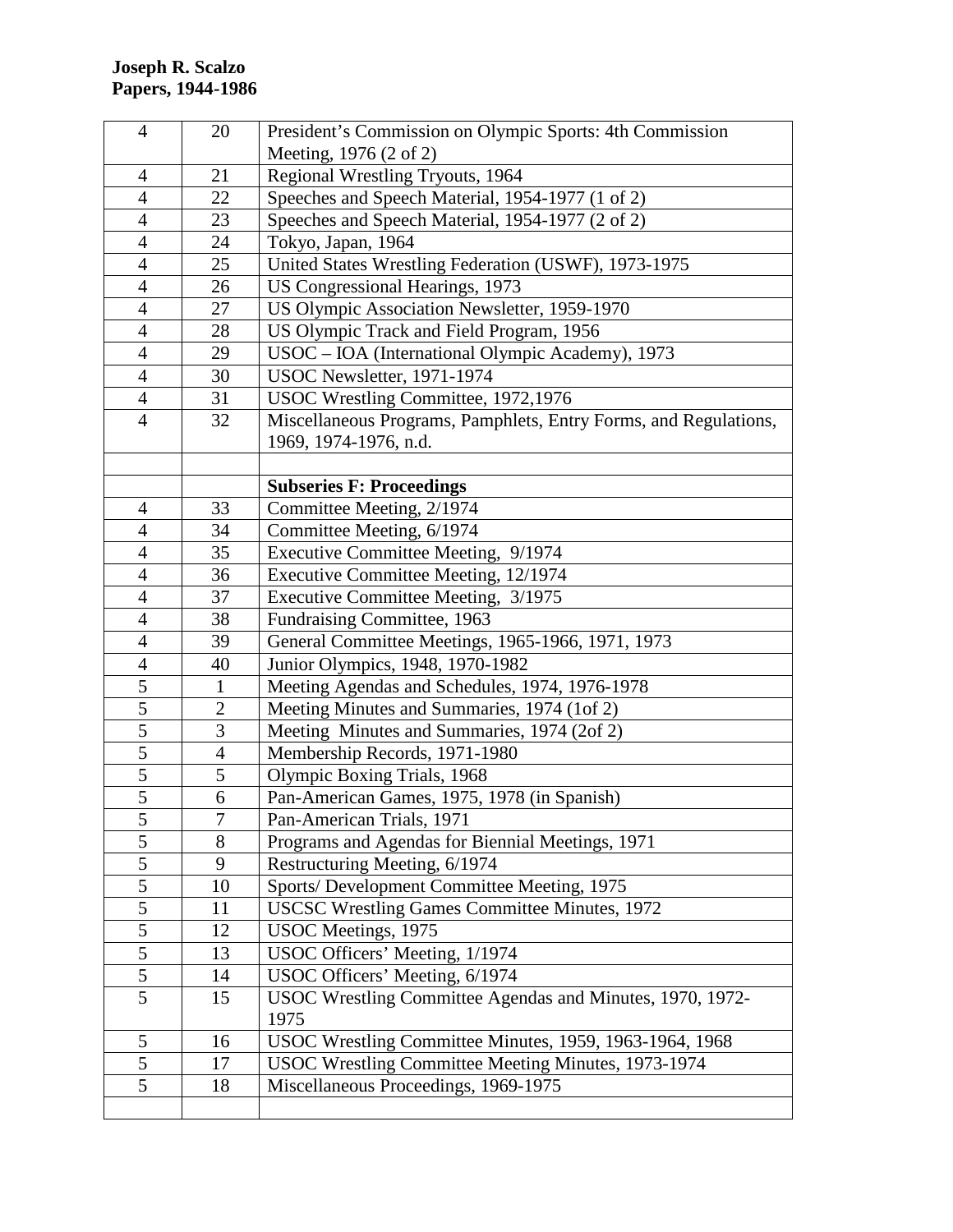| $\overline{4}$ | 20             | President's Commission on Olympic Sports: 4th Commission         |
|----------------|----------------|------------------------------------------------------------------|
|                |                | Meeting, 1976 (2 of 2)                                           |
| $\overline{4}$ | 21             | Regional Wrestling Tryouts, 1964                                 |
| $\overline{4}$ | 22             | Speeches and Speech Material, 1954-1977 (1 of 2)                 |
| $\overline{4}$ | 23             | Speeches and Speech Material, 1954-1977 (2 of 2)                 |
| $\overline{4}$ | 24             | Tokyo, Japan, 1964                                               |
| $\overline{4}$ | 25             | United States Wrestling Federation (USWF), 1973-1975             |
| $\overline{4}$ | 26             | US Congressional Hearings, 1973                                  |
| $\overline{4}$ | 27             | US Olympic Association Newsletter, 1959-1970                     |
| $\overline{4}$ | 28             | US Olympic Track and Field Program, 1956                         |
| $\overline{4}$ | 29             | USOC - IOA (International Olympic Academy), 1973                 |
| $\overline{4}$ | 30             | USOC Newsletter, 1971-1974                                       |
| $\overline{4}$ | 31             | USOC Wrestling Committee, 1972,1976                              |
| $\overline{4}$ | 32             | Miscellaneous Programs, Pamphlets, Entry Forms, and Regulations, |
|                |                | 1969, 1974-1976, n.d.                                            |
|                |                |                                                                  |
|                |                | <b>Subseries F: Proceedings</b>                                  |
| 4              | 33             | Committee Meeting, 2/1974                                        |
| 4              | 34             | Committee Meeting, 6/1974                                        |
| $\overline{4}$ | 35             | Executive Committee Meeting, 9/1974                              |
| $\overline{4}$ | 36             | Executive Committee Meeting, 12/1974                             |
| $\overline{4}$ | 37             | Executive Committee Meeting, 3/1975                              |
| $\overline{4}$ | 38             | Fundraising Committee, 1963                                      |
| $\overline{4}$ | 39             | General Committee Meetings, 1965-1966, 1971, 1973                |
| $\overline{4}$ | 40             | Junior Olympics, 1948, 1970-1982                                 |
| $\overline{5}$ | $\mathbf{1}$   | Meeting Agendas and Schedules, 1974, 1976-1978                   |
| $\overline{5}$ | $\mathbf{2}$   | Meeting Minutes and Summaries, 1974 (1of 2)                      |
| $\overline{5}$ | 3              | Meeting Minutes and Summaries, 1974 (2of 2)                      |
| $\overline{5}$ | $\overline{4}$ | Membership Records, 1971-1980                                    |
| $\overline{5}$ | 5              | Olympic Boxing Trials, 1968                                      |
| $\overline{5}$ | 6              | Pan-American Games, 1975, 1978 (in Spanish)                      |
| 5              | $\sqrt{ }$     | Pan-American Trials, 1971                                        |
| 5              | 8              | Programs and Agendas for Biennial Meetings, 1971                 |
| $\overline{5}$ | 9              | Restructuring Meeting, 6/1974                                    |
| 5              | 10             | Sports/ Development Committee Meeting, 1975                      |
| $\overline{5}$ | 11             | <b>USCSC Wrestling Games Committee Minutes, 1972</b>             |
| 5              | 12             | USOC Meetings, 1975                                              |
| $\overline{5}$ | 13             | USOC Officers' Meeting, 1/1974                                   |
| $\mathfrak s$  | 14             | USOC Officers' Meeting, 6/1974                                   |
| $\overline{5}$ | 15             | USOC Wrestling Committee Agendas and Minutes, 1970, 1972-        |
|                |                | 1975                                                             |
| 5              | 16             | USOC Wrestling Committee Minutes, 1959, 1963-1964, 1968          |
| $\overline{5}$ | 17             | USOC Wrestling Committee Meeting Minutes, 1973-1974              |
| 5              | 18             | Miscellaneous Proceedings, 1969-1975                             |
|                |                |                                                                  |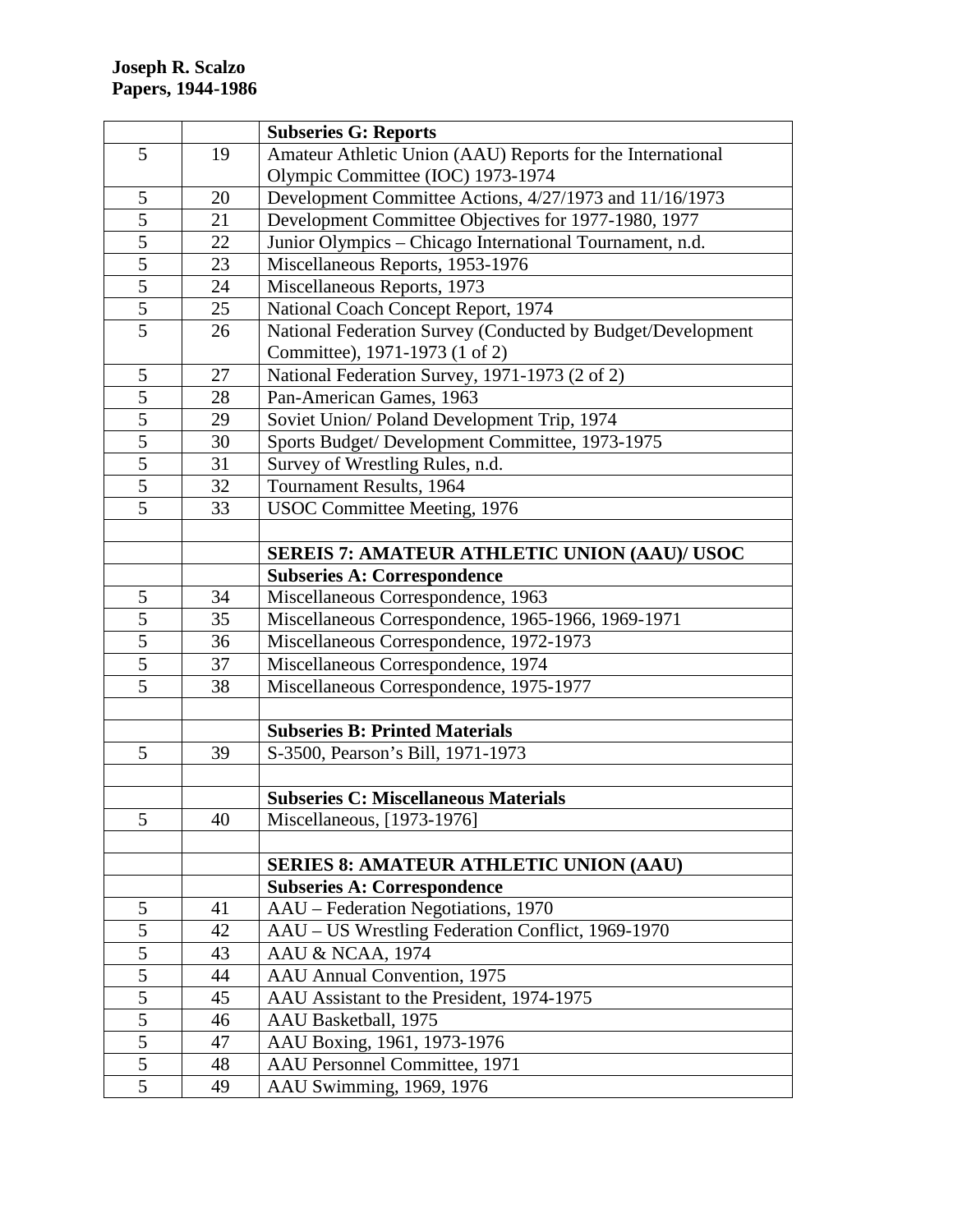|                |    | <b>Subseries G: Reports</b>                                 |
|----------------|----|-------------------------------------------------------------|
| 5              | 19 | Amateur Athletic Union (AAU) Reports for the International  |
|                |    | Olympic Committee (IOC) 1973-1974                           |
| 5              | 20 | Development Committee Actions, 4/27/1973 and 11/16/1973     |
| 5              | 21 | Development Committee Objectives for 1977-1980, 1977        |
| $\overline{5}$ | 22 | Junior Olympics - Chicago International Tournament, n.d.    |
| $\overline{5}$ | 23 | Miscellaneous Reports, 1953-1976                            |
| $\overline{5}$ | 24 | Miscellaneous Reports, 1973                                 |
| $\overline{5}$ | 25 | National Coach Concept Report, 1974                         |
| $\overline{5}$ | 26 | National Federation Survey (Conducted by Budget/Development |
|                |    | Committee), 1971-1973 (1 of 2)                              |
| 5              | 27 | National Federation Survey, 1971-1973 (2 of 2)              |
| 5              | 28 | Pan-American Games, 1963                                    |
| $\overline{5}$ | 29 | Soviet Union/Poland Development Trip, 1974                  |
| 5              | 30 | Sports Budget/ Development Committee, 1973-1975             |
| 5              | 31 | Survey of Wrestling Rules, n.d.                             |
| 5              | 32 | Tournament Results, 1964                                    |
| 5              | 33 | <b>USOC Committee Meeting, 1976</b>                         |
|                |    |                                                             |
|                |    | <b>SEREIS 7: AMATEUR ATHLETIC UNION (AAU)/ USOC</b>         |
|                |    | <b>Subseries A: Correspondence</b>                          |
| 5              | 34 | Miscellaneous Correspondence, 1963                          |
| $\overline{5}$ | 35 | Miscellaneous Correspondence, 1965-1966, 1969-1971          |
| $\overline{5}$ | 36 | Miscellaneous Correspondence, 1972-1973                     |
| $\overline{5}$ | 37 | Miscellaneous Correspondence, 1974                          |
| 5              | 38 | Miscellaneous Correspondence, 1975-1977                     |
|                |    |                                                             |
|                |    | <b>Subseries B: Printed Materials</b>                       |
| 5              | 39 | S-3500, Pearson's Bill, 1971-1973                           |
|                |    |                                                             |
|                |    | <b>Subseries C: Miscellaneous Materials</b>                 |
| 5              | 40 | Miscellaneous, [1973-1976]                                  |
|                |    |                                                             |
|                |    | <b>SERIES 8: AMATEUR ATHLETIC UNION (AAU)</b>               |
|                |    | <b>Subseries A: Correspondence</b>                          |
| 5              | 41 | AAU - Federation Negotiations, 1970                         |
| 5              | 42 | AAU - US Wrestling Federation Conflict, 1969-1970           |
| $\overline{5}$ | 43 | AAU & NCAA, 1974                                            |
| $\overline{5}$ | 44 | AAU Annual Convention, 1975                                 |
| $\overline{5}$ | 45 | AAU Assistant to the President, 1974-1975                   |
| 5              | 46 | AAU Basketball, 1975                                        |
| 5              | 47 | AAU Boxing, 1961, 1973-1976                                 |
| 5              | 48 | AAU Personnel Committee, 1971                               |
| 5              | 49 | AAU Swimming, 1969, 1976                                    |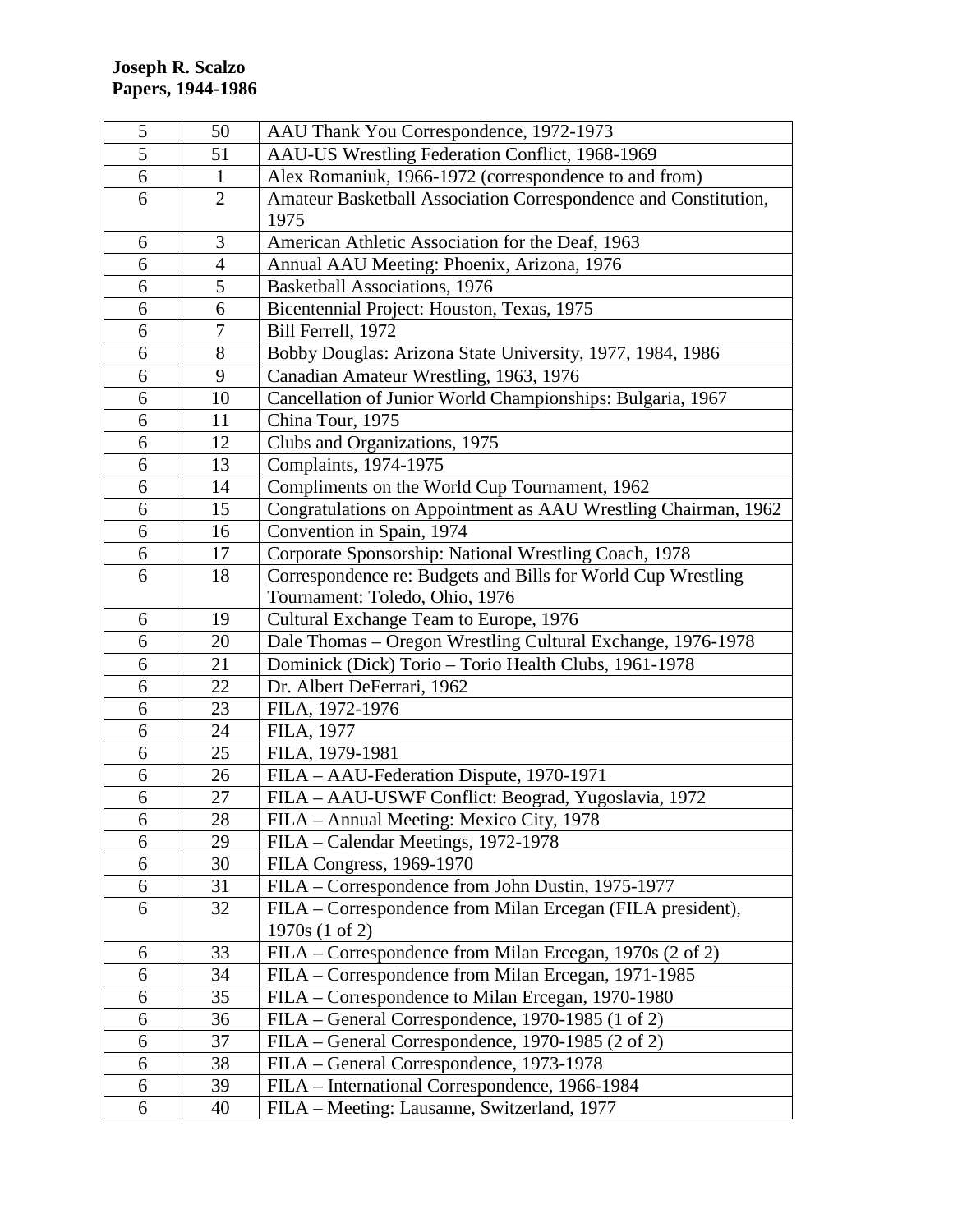| 5 | 50             | AAU Thank You Correspondence, 1972-1973                         |
|---|----------------|-----------------------------------------------------------------|
| 5 | 51             | AAU-US Wrestling Federation Conflict, 1968-1969                 |
| 6 | $\mathbf{1}$   | Alex Romaniuk, 1966-1972 (correspondence to and from)           |
| 6 | $\overline{2}$ | Amateur Basketball Association Correspondence and Constitution, |
|   |                | 1975                                                            |
| 6 | 3              | American Athletic Association for the Deaf, 1963                |
| 6 | $\overline{4}$ | Annual AAU Meeting: Phoenix, Arizona, 1976                      |
| 6 | 5              | Basketball Associations, 1976                                   |
| 6 | 6              | Bicentennial Project: Houston, Texas, 1975                      |
| 6 | 7              | Bill Ferrell, 1972                                              |
| 6 | 8              | Bobby Douglas: Arizona State University, 1977, 1984, 1986       |
| 6 | 9              | Canadian Amateur Wrestling, 1963, 1976                          |
| 6 | 10             | Cancellation of Junior World Championships: Bulgaria, 1967      |
| 6 | 11             | China Tour, 1975                                                |
| 6 | 12             | Clubs and Organizations, 1975                                   |
| 6 | 13             | Complaints, 1974-1975                                           |
| 6 | 14             | Compliments on the World Cup Tournament, 1962                   |
| 6 | 15             | Congratulations on Appointment as AAU Wrestling Chairman, 1962  |
| 6 | 16             | Convention in Spain, 1974                                       |
| 6 | 17             | Corporate Sponsorship: National Wrestling Coach, 1978           |
| 6 | 18             | Correspondence re: Budgets and Bills for World Cup Wrestling    |
|   |                | Tournament: Toledo, Ohio, 1976                                  |
| 6 | 19             | Cultural Exchange Team to Europe, 1976                          |
| 6 | 20             | Dale Thomas - Oregon Wrestling Cultural Exchange, 1976-1978     |
| 6 | 21             | Dominick (Dick) Torio - Torio Health Clubs, 1961-1978           |
| 6 | 22             | Dr. Albert DeFerrari, 1962                                      |
| 6 | 23             | FILA, 1972-1976                                                 |
| 6 | 24             | FILA, 1977                                                      |
| 6 | 25             | FILA, 1979-1981                                                 |
| 6 | 26             | FILA – AAU-Federation Dispute, 1970-1971                        |
| 6 | 27             | FILA - AAU-USWF Conflict: Beograd, Yugoslavia, 1972             |
| 6 | 28             | FILA - Annual Meeting: Mexico City, 1978                        |
| 6 | 29             | FILA - Calendar Meetings, 1972-1978                             |
| 6 | 30             | FILA Congress, 1969-1970                                        |
| 6 | 31             | FILA – Correspondence from John Dustin, 1975-1977               |
| 6 | 32             | FILA - Correspondence from Milan Ercegan (FILA president),      |
|   |                | 1970s (1 of 2)                                                  |
| 6 | 33             | FILA – Correspondence from Milan Ercegan, 1970s (2 of 2)        |
| 6 | 34             | FILA - Correspondence from Milan Ercegan, 1971-1985             |
| 6 | 35             | FILA – Correspondence to Milan Ercegan, 1970-1980               |
| 6 | 36             | FILA – General Correspondence, 1970-1985 (1 of 2)               |
| 6 | 37             | FILA - General Correspondence, 1970-1985 (2 of 2)               |
| 6 | 38             | FILA – General Correspondence, 1973-1978                        |
| 6 | 39             | FILA - International Correspondence, 1966-1984                  |
| 6 | 40             | FILA - Meeting: Lausanne, Switzerland, 1977                     |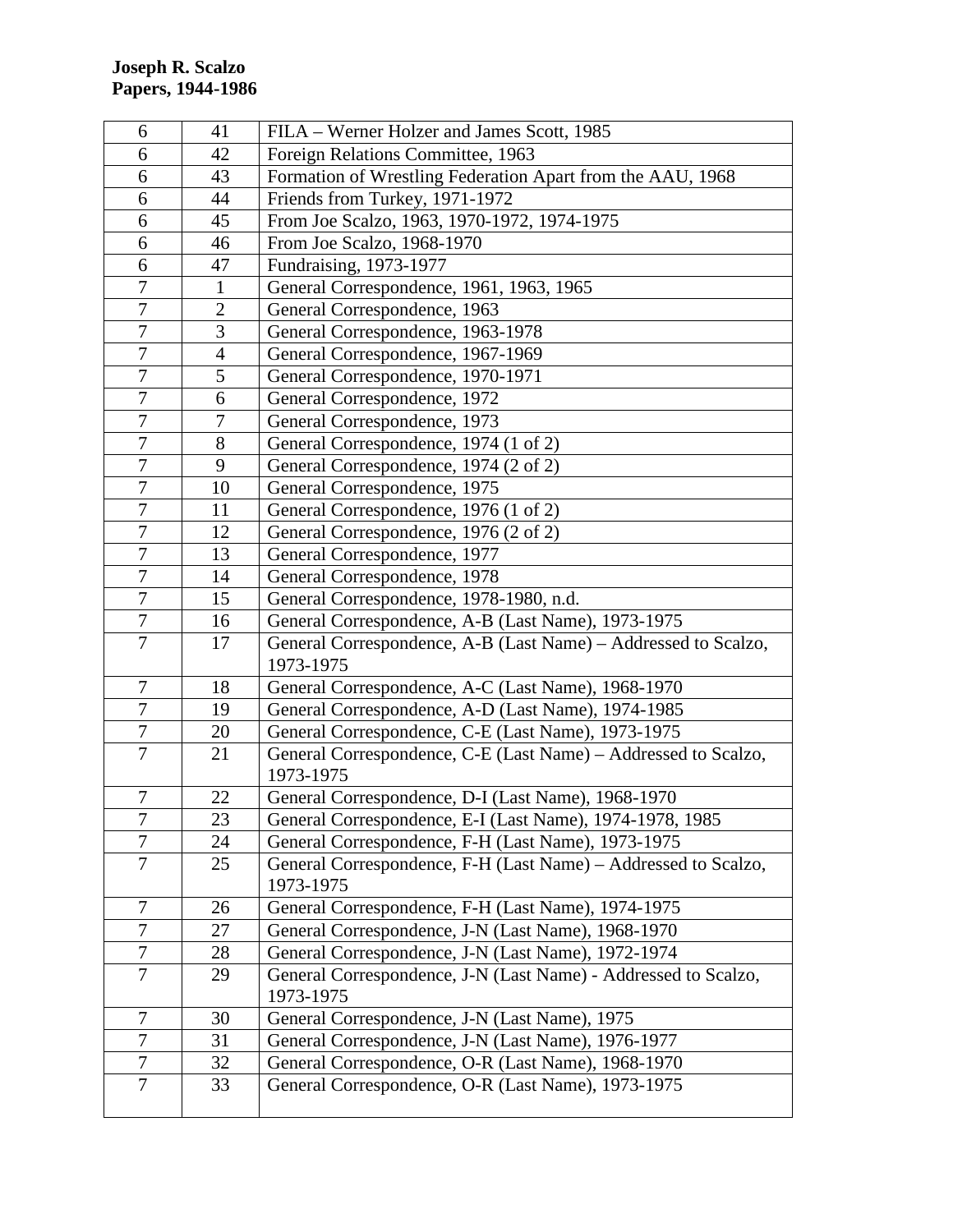| 6                | 41             | FILA – Werner Holzer and James Scott, 1985                                  |
|------------------|----------------|-----------------------------------------------------------------------------|
| 6                | 42             | Foreign Relations Committee, 1963                                           |
| 6                | 43             | Formation of Wrestling Federation Apart from the AAU, 1968                  |
| 6                | 44             | Friends from Turkey, 1971-1972                                              |
| 6                | 45             | From Joe Scalzo, 1963, 1970-1972, 1974-1975                                 |
| 6                | 46             | From Joe Scalzo, 1968-1970                                                  |
| 6                | 47             | Fundraising, 1973-1977                                                      |
| $\overline{7}$   | $\mathbf{1}$   | General Correspondence, 1961, 1963, 1965                                    |
| $\overline{7}$   | $\mathfrak{2}$ | General Correspondence, 1963                                                |
| $\overline{7}$   | 3              | General Correspondence, 1963-1978                                           |
| $\overline{7}$   | $\overline{4}$ | General Correspondence, 1967-1969                                           |
| $\overline{7}$   | 5              | General Correspondence, 1970-1971                                           |
| $\overline{7}$   | 6              | General Correspondence, 1972                                                |
| $\boldsymbol{7}$ | 7              | General Correspondence, 1973                                                |
| $\tau$           | 8              | General Correspondence, 1974 (1 of 2)                                       |
| 7                | 9              | General Correspondence, 1974 (2 of 2)                                       |
| $\overline{7}$   | 10             | General Correspondence, 1975                                                |
| $\tau$           | 11             | General Correspondence, 1976 (1 of 2)                                       |
| 7                | 12             | General Correspondence, 1976 (2 of 2)                                       |
| $\overline{7}$   | 13             | General Correspondence, 1977                                                |
| $\overline{7}$   | 14             | General Correspondence, 1978                                                |
| $\overline{7}$   | 15             | General Correspondence, 1978-1980, n.d.                                     |
| $\overline{7}$   | 16             | General Correspondence, A-B (Last Name), 1973-1975                          |
| $\overline{7}$   | 17             | General Correspondence, A-B (Last Name) – Addressed to Scalzo,<br>1973-1975 |
| 7                | 18             | General Correspondence, A-C (Last Name), 1968-1970                          |
| 7                | 19             | General Correspondence, A-D (Last Name), 1974-1985                          |
| 7                | 20             | General Correspondence, C-E (Last Name), 1973-1975                          |
| $\overline{7}$   | 21             | General Correspondence, C-E (Last Name) – Addressed to Scalzo,              |
|                  |                | 1973-1975                                                                   |
| $\boldsymbol{7}$ | 22             | General Correspondence, D-I (Last Name), 1968-1970                          |
| $\overline{7}$   | 23             | General Correspondence, E-I (Last Name), 1974-1978, 1985                    |
| $\overline{7}$   | 24             | General Correspondence, F-H (Last Name), 1973-1975                          |
| 7                | 25             | General Correspondence, F-H (Last Name) – Addressed to Scalzo,              |
|                  |                | 1973-1975                                                                   |
| $\boldsymbol{7}$ | 26             | General Correspondence, F-H (Last Name), 1974-1975                          |
| $\overline{7}$   | 27             | General Correspondence, J-N (Last Name), 1968-1970                          |
| $\tau$           | 28             | General Correspondence, J-N (Last Name), 1972-1974                          |
| $\overline{7}$   | 29             | General Correspondence, J-N (Last Name) - Addressed to Scalzo,<br>1973-1975 |
| 7                | 30             | General Correspondence, J-N (Last Name), 1975                               |
| 7                | 31             | General Correspondence, J-N (Last Name), 1976-1977                          |
| 7                | 32             | General Correspondence, O-R (Last Name), 1968-1970                          |
| $\overline{7}$   | 33             | General Correspondence, O-R (Last Name), 1973-1975                          |
|                  |                |                                                                             |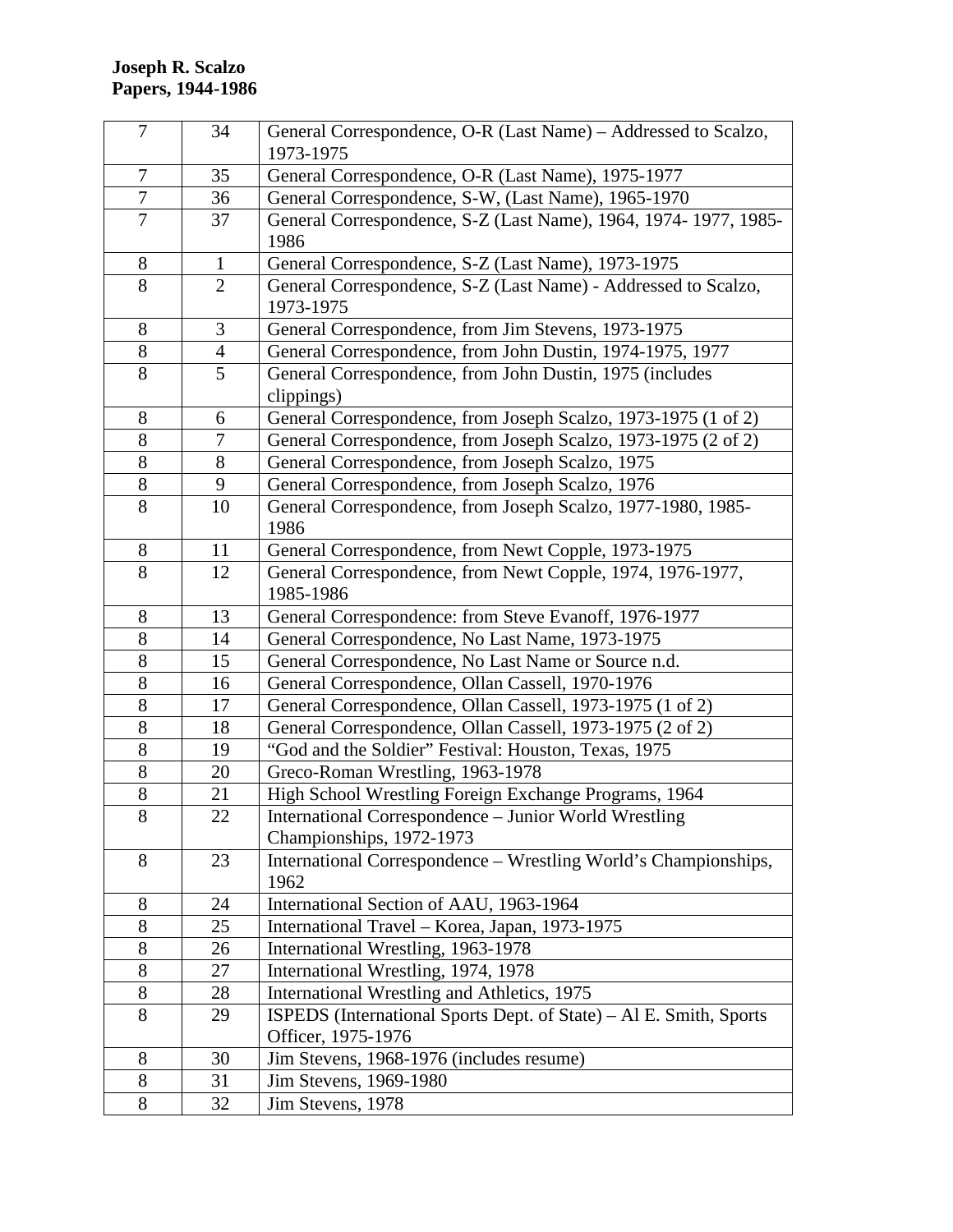| $\overline{7}$   | 34             | General Correspondence, O-R (Last Name) – Addressed to Scalzo,<br>1973-1975              |
|------------------|----------------|------------------------------------------------------------------------------------------|
| $\overline{7}$   | 35             | General Correspondence, O-R (Last Name), 1975-1977                                       |
| $\boldsymbol{7}$ | 36             | General Correspondence, S-W, (Last Name), 1965-1970                                      |
| $\overline{7}$   | 37             | General Correspondence, S-Z (Last Name), 1964, 1974-1977, 1985-<br>1986                  |
| 8                | 1              | General Correspondence, S-Z (Last Name), 1973-1975                                       |
| 8                | $\overline{2}$ | General Correspondence, S-Z (Last Name) - Addressed to Scalzo,<br>1973-1975              |
| 8                | 3              | General Correspondence, from Jim Stevens, 1973-1975                                      |
| 8                | $\overline{4}$ | General Correspondence, from John Dustin, 1974-1975, 1977                                |
| 8                | 5              | General Correspondence, from John Dustin, 1975 (includes<br>clippings)                   |
| 8                | 6              | General Correspondence, from Joseph Scalzo, 1973-1975 (1 of 2)                           |
| $8\,$            | 7              | General Correspondence, from Joseph Scalzo, 1973-1975 (2 of 2)                           |
| 8                | 8              | General Correspondence, from Joseph Scalzo, 1975                                         |
| 8                | 9              | General Correspondence, from Joseph Scalzo, 1976                                         |
| 8                | 10             | General Correspondence, from Joseph Scalzo, 1977-1980, 1985-<br>1986                     |
| 8                | 11             | General Correspondence, from Newt Copple, 1973-1975                                      |
| 8                | 12             | General Correspondence, from Newt Copple, 1974, 1976-1977,<br>1985-1986                  |
| 8                | 13             | General Correspondence: from Steve Evanoff, 1976-1977                                    |
| 8                | 14             | General Correspondence, No Last Name, 1973-1975                                          |
| 8                | 15             | General Correspondence, No Last Name or Source n.d.                                      |
| 8                | 16             | General Correspondence, Ollan Cassell, 1970-1976                                         |
| 8                | 17             | General Correspondence, Ollan Cassell, 1973-1975 (1 of 2)                                |
| 8                | 18             | General Correspondence, Ollan Cassell, 1973-1975 (2 of 2)                                |
| 8                | 19             | "God and the Soldier" Festival: Houston, Texas, 1975                                     |
| 8                | 20             | Greco-Roman Wrestling, 1963-1978                                                         |
| $8\,$            | 21             | High School Wrestling Foreign Exchange Programs, 1964                                    |
| 8                | 22             | International Correspondence - Junior World Wrestling<br>Championships, 1972-1973        |
| 8                | 23             | International Correspondence - Wrestling World's Championships,<br>1962                  |
| 8                | 24             | International Section of AAU, 1963-1964                                                  |
| 8                | 25             | International Travel - Korea, Japan, 1973-1975                                           |
| 8                | 26             | International Wrestling, 1963-1978                                                       |
| $8\,$            | 27             | International Wrestling, 1974, 1978                                                      |
| 8                | 28             | International Wrestling and Athletics, 1975                                              |
| 8                | 29             | ISPEDS (International Sports Dept. of State) – Al E. Smith, Sports<br>Officer, 1975-1976 |
| 8                | 30             | Jim Stevens, 1968-1976 (includes resume)                                                 |
| 8                | 31             | Jim Stevens, 1969-1980                                                                   |
| 8                | 32             | Jim Stevens, 1978                                                                        |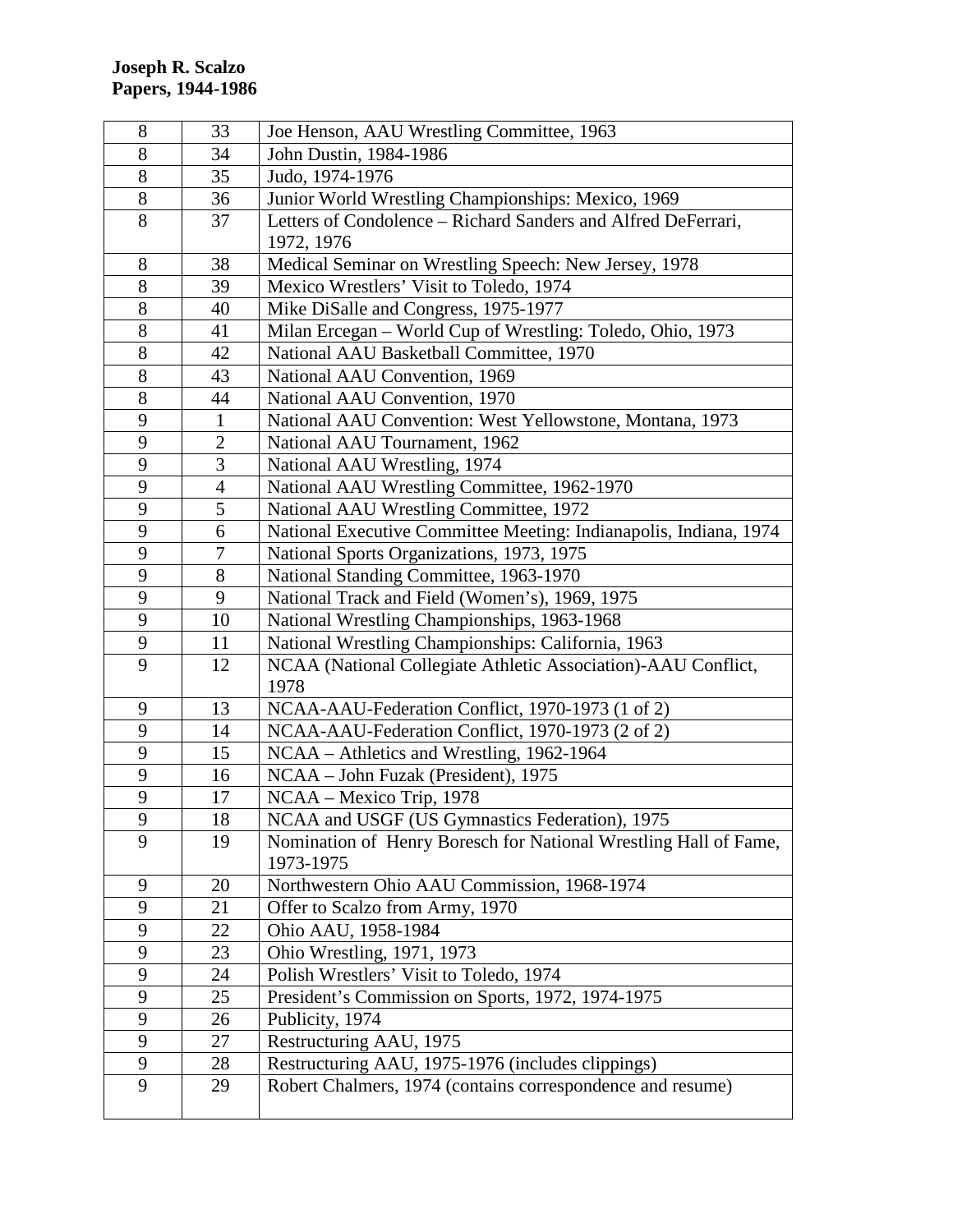| 8                | 33             | Joe Henson, AAU Wrestling Committee, 1963                         |
|------------------|----------------|-------------------------------------------------------------------|
| 8                | 34             | John Dustin, 1984-1986                                            |
| $8\,$            | 35             | Judo, 1974-1976                                                   |
| 8                | 36             | Junior World Wrestling Championships: Mexico, 1969                |
| 8                | 37             | Letters of Condolence – Richard Sanders and Alfred DeFerrari,     |
|                  |                | 1972, 1976                                                        |
| 8                | 38             | Medical Seminar on Wrestling Speech: New Jersey, 1978             |
| $8\,$            | 39             | Mexico Wrestlers' Visit to Toledo, 1974                           |
| $8\,$            | 40             | Mike DiSalle and Congress, 1975-1977                              |
| 8                | 41             | Milan Ercegan - World Cup of Wrestling: Toledo, Ohio, 1973        |
| $8\,$            | 42             | National AAU Basketball Committee, 1970                           |
| $8\,$            | 43             | National AAU Convention, 1969                                     |
| $8\,$            | 44             | National AAU Convention, 1970                                     |
| 9                | $\mathbf{1}$   | National AAU Convention: West Yellowstone, Montana, 1973          |
| 9                | $\overline{2}$ | National AAU Tournament, 1962                                     |
| 9                | 3              | National AAU Wrestling, 1974                                      |
| 9                | 4              | National AAU Wrestling Committee, 1962-1970                       |
| 9                | 5              | National AAU Wrestling Committee, 1972                            |
| 9                | 6              | National Executive Committee Meeting: Indianapolis, Indiana, 1974 |
| 9                | 7              | National Sports Organizations, 1973, 1975                         |
| $\boldsymbol{9}$ | 8              | National Standing Committee, 1963-1970                            |
| 9                | 9              | National Track and Field (Women's), 1969, 1975                    |
| 9                | 10             | National Wrestling Championships, 1963-1968                       |
| $\mathbf{9}$     | 11             | National Wrestling Championships: California, 1963                |
| 9                | 12             | NCAA (National Collegiate Athletic Association)-AAU Conflict,     |
|                  |                | 1978                                                              |
| 9                | 13             | NCAA-AAU-Federation Conflict, 1970-1973 (1 of 2)                  |
| 9                | 14             | NCAA-AAU-Federation Conflict, 1970-1973 (2 of 2)                  |
| 9                | 15             | NCAA – Athletics and Wrestling, 1962-1964                         |
| 9                | 16             | NCAA – John Fuzak (President), 1975                               |
| 9                | 17             | NCAA - Mexico Trip, 1978                                          |
| 9                | 18             | NCAA and USGF (US Gymnastics Federation), 1975                    |
| 9                | 19             | Nomination of Henry Boresch for National Wrestling Hall of Fame,  |
|                  |                | 1973-1975                                                         |
| 9                | 20             | Northwestern Ohio AAU Commission, 1968-1974                       |
| 9                | 21             | Offer to Scalzo from Army, 1970                                   |
| 9                | 22             | Ohio AAU, 1958-1984                                               |
| 9                | 23             | Ohio Wrestling, 1971, 1973                                        |
| 9                | 24             | Polish Wrestlers' Visit to Toledo, 1974                           |
| 9                | 25             | President's Commission on Sports, 1972, 1974-1975                 |
| 9                | 26             | Publicity, 1974                                                   |
| 9                | 27             | Restructuring AAU, 1975                                           |
| 9                | 28             | Restructuring AAU, 1975-1976 (includes clippings)                 |
| 9                | 29             | Robert Chalmers, 1974 (contains correspondence and resume)        |
|                  |                |                                                                   |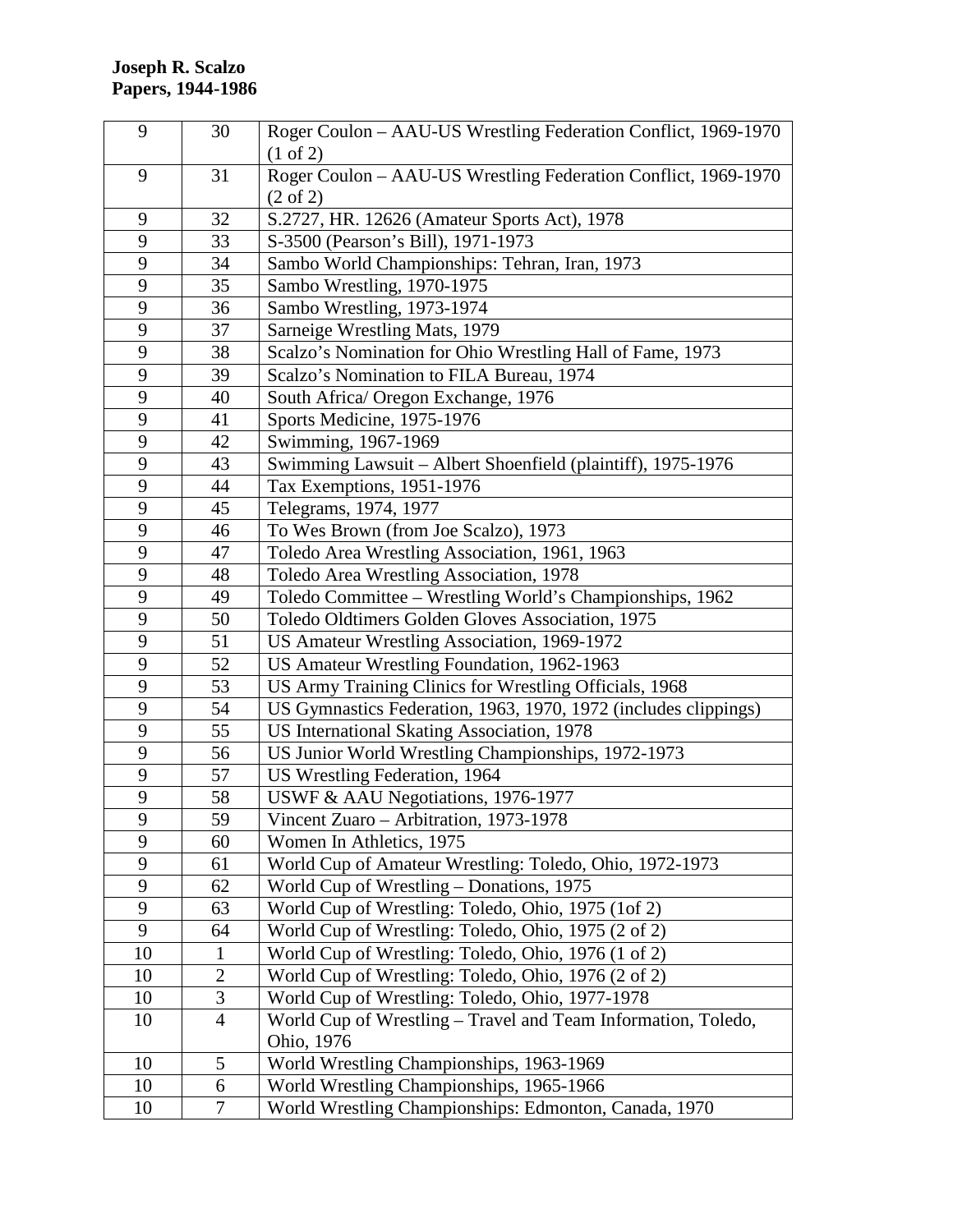| 9            | 30             | Roger Coulon - AAU-US Wrestling Federation Conflict, 1969-1970  |
|--------------|----------------|-----------------------------------------------------------------|
|              |                | $(1 \text{ of } 2)$                                             |
| 9            | 31             | Roger Coulon - AAU-US Wrestling Federation Conflict, 1969-1970  |
|              |                | $(2 \text{ of } 2)$                                             |
| 9            | 32             | S.2727, HR. 12626 (Amateur Sports Act), 1978                    |
| 9            | 33             | S-3500 (Pearson's Bill), 1971-1973                              |
| 9            | 34             | Sambo World Championships: Tehran, Iran, 1973                   |
| 9            | 35             | Sambo Wrestling, 1970-1975                                      |
| $\mathbf{9}$ | 36             | Sambo Wrestling, 1973-1974                                      |
| 9            | 37             | Sarneige Wrestling Mats, 1979                                   |
| 9            | 38             | Scalzo's Nomination for Ohio Wrestling Hall of Fame, 1973       |
| 9            | 39             | Scalzo's Nomination to FILA Bureau, 1974                        |
| 9            | 40             | South Africa/ Oregon Exchange, 1976                             |
| 9            | 41             | Sports Medicine, 1975-1976                                      |
| 9            | 42             | Swimming, 1967-1969                                             |
| 9            | 43             | Swimming Lawsuit - Albert Shoenfield (plaintiff), 1975-1976     |
| 9            | 44             | Tax Exemptions, 1951-1976                                       |
| 9            | 45             | Telegrams, 1974, 1977                                           |
| 9            | 46             | To Wes Brown (from Joe Scalzo), 1973                            |
| 9            | 47             | Toledo Area Wrestling Association, 1961, 1963                   |
| 9            | 48             | Toledo Area Wrestling Association, 1978                         |
| 9            | 49             | Toledo Committee – Wrestling World's Championships, 1962        |
| 9            | 50             | Toledo Oldtimers Golden Gloves Association, 1975                |
| 9            | 51             | US Amateur Wrestling Association, 1969-1972                     |
| 9            | 52             | US Amateur Wrestling Foundation, 1962-1963                      |
| 9            | 53             | US Army Training Clinics for Wrestling Officials, 1968          |
| 9            | 54             | US Gymnastics Federation, 1963, 1970, 1972 (includes clippings) |
| 9            | 55             | US International Skating Association, 1978                      |
| 9            | 56             | US Junior World Wrestling Championships, 1972-1973              |
| 9            | 57             | US Wrestling Federation, 1964                                   |
| 9            | 58             | USWF & AAU Negotiations, 1976-1977                              |
| 9            | 59             | Vincent Zuaro - Arbitration, 1973-1978                          |
| 9            | 60             | Women In Athletics, 1975                                        |
| 9            | 61             | World Cup of Amateur Wrestling: Toledo, Ohio, 1972-1973         |
| 9            | 62             | World Cup of Wrestling – Donations, 1975                        |
| 9            | 63             | World Cup of Wrestling: Toledo, Ohio, 1975 (1of 2)              |
| 9            | 64             | World Cup of Wrestling: Toledo, Ohio, 1975 (2 of 2)             |
| 10           | $\mathbf{1}$   | World Cup of Wrestling: Toledo, Ohio, 1976 (1 of 2)             |
| 10           | $\overline{2}$ | World Cup of Wrestling: Toledo, Ohio, 1976 (2 of 2)             |
| 10           | $\mathfrak{Z}$ | World Cup of Wrestling: Toledo, Ohio, 1977-1978                 |
| 10           | $\overline{4}$ | World Cup of Wrestling - Travel and Team Information, Toledo,   |
|              |                | Ohio, 1976                                                      |
| 10           | 5              | World Wrestling Championships, 1963-1969                        |
| 10           | 6              | World Wrestling Championships, 1965-1966                        |
| 10           | 7              | World Wrestling Championships: Edmonton, Canada, 1970           |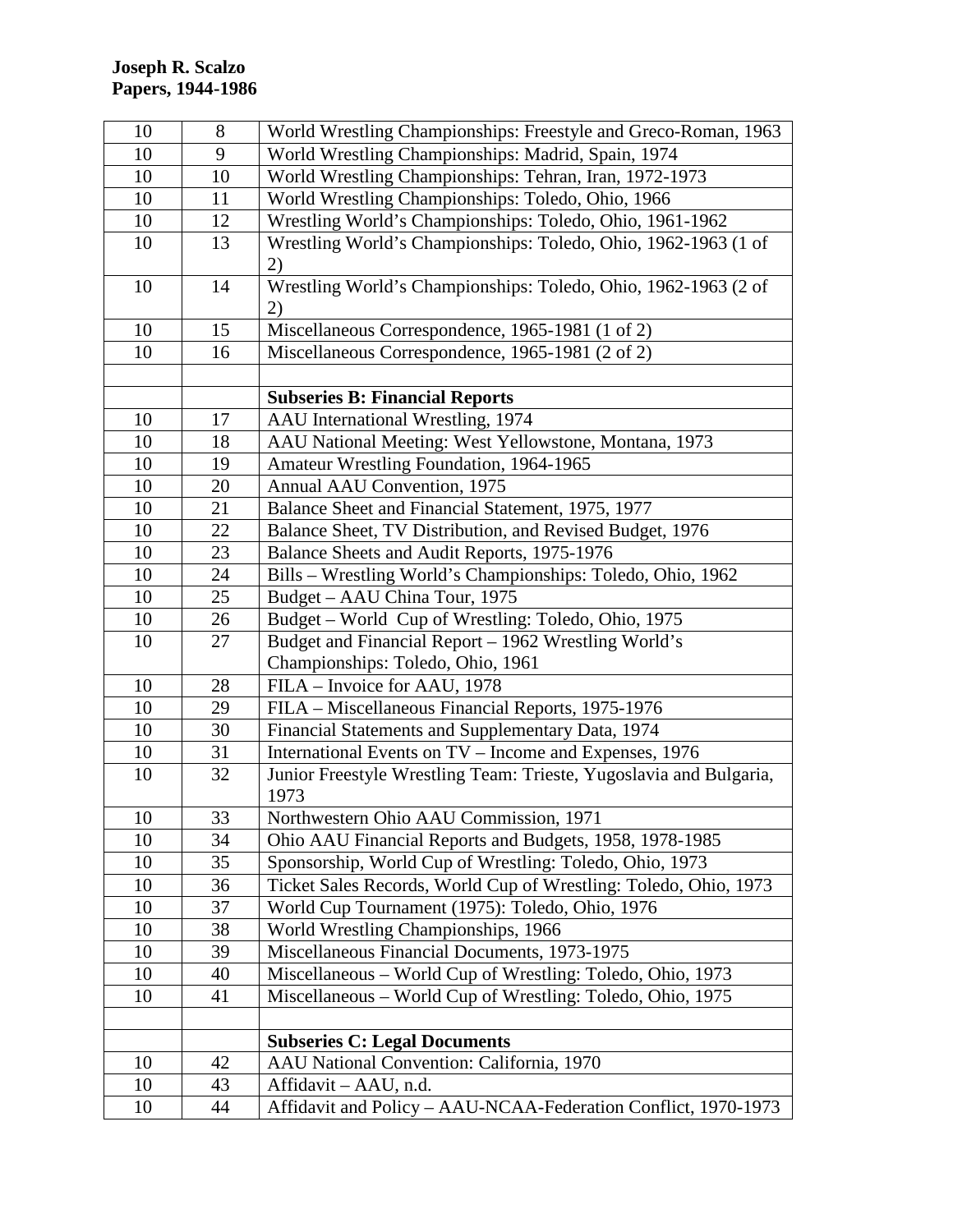| 10 | 8  | World Wrestling Championships: Freestyle and Greco-Roman, 1963     |
|----|----|--------------------------------------------------------------------|
| 10 | 9  | World Wrestling Championships: Madrid, Spain, 1974                 |
| 10 | 10 | World Wrestling Championships: Tehran, Iran, 1972-1973             |
| 10 | 11 | World Wrestling Championships: Toledo, Ohio, 1966                  |
| 10 | 12 | Wrestling World's Championships: Toledo, Ohio, 1961-1962           |
| 10 | 13 | Wrestling World's Championships: Toledo, Ohio, 1962-1963 (1 of     |
|    |    | 2)                                                                 |
| 10 | 14 | Wrestling World's Championships: Toledo, Ohio, 1962-1963 (2 of     |
|    |    | 2)                                                                 |
| 10 | 15 | Miscellaneous Correspondence, 1965-1981 (1 of 2)                   |
| 10 | 16 | Miscellaneous Correspondence, 1965-1981 (2 of 2)                   |
|    |    |                                                                    |
|    |    | <b>Subseries B: Financial Reports</b>                              |
| 10 | 17 | AAU International Wrestling, 1974                                  |
| 10 | 18 | AAU National Meeting: West Yellowstone, Montana, 1973              |
| 10 | 19 | Amateur Wrestling Foundation, 1964-1965                            |
| 10 | 20 | Annual AAU Convention, 1975                                        |
| 10 | 21 | Balance Sheet and Financial Statement, 1975, 1977                  |
| 10 | 22 | Balance Sheet, TV Distribution, and Revised Budget, 1976           |
| 10 | 23 | Balance Sheets and Audit Reports, 1975-1976                        |
| 10 | 24 | Bills - Wrestling World's Championships: Toledo, Ohio, 1962        |
| 10 | 25 | Budget – AAU China Tour, 1975                                      |
| 10 | 26 | Budget - World Cup of Wrestling: Toledo, Ohio, 1975                |
| 10 | 27 | Budget and Financial Report - 1962 Wrestling World's               |
|    |    | Championships: Toledo, Ohio, 1961                                  |
| 10 | 28 | FILA - Invoice for AAU, 1978                                       |
| 10 | 29 | FILA - Miscellaneous Financial Reports, 1975-1976                  |
| 10 | 30 | Financial Statements and Supplementary Data, 1974                  |
| 10 | 31 | International Events on TV - Income and Expenses, 1976             |
| 10 | 32 | Junior Freestyle Wrestling Team: Trieste, Yugoslavia and Bulgaria, |
|    |    | 1973                                                               |
| 10 | 33 | Northwestern Ohio AAU Commission, 1971                             |
| 10 | 34 | Ohio AAU Financial Reports and Budgets, 1958, 1978-1985            |
| 10 | 35 | Sponsorship, World Cup of Wrestling: Toledo, Ohio, 1973            |
| 10 | 36 | Ticket Sales Records, World Cup of Wrestling: Toledo, Ohio, 1973   |
| 10 | 37 | World Cup Tournament (1975): Toledo, Ohio, 1976                    |
| 10 | 38 | World Wrestling Championships, 1966                                |
| 10 | 39 | Miscellaneous Financial Documents, 1973-1975                       |
| 10 | 40 | Miscellaneous - World Cup of Wrestling: Toledo, Ohio, 1973         |
| 10 | 41 | Miscellaneous – World Cup of Wrestling: Toledo, Ohio, 1975         |
|    |    |                                                                    |
|    |    | <b>Subseries C: Legal Documents</b>                                |
| 10 | 42 | AAU National Convention: California, 1970                          |
| 10 | 43 | Affidavit - AAU, n.d.                                              |
| 10 | 44 | Affidavit and Policy - AAU-NCAA-Federation Conflict, 1970-1973     |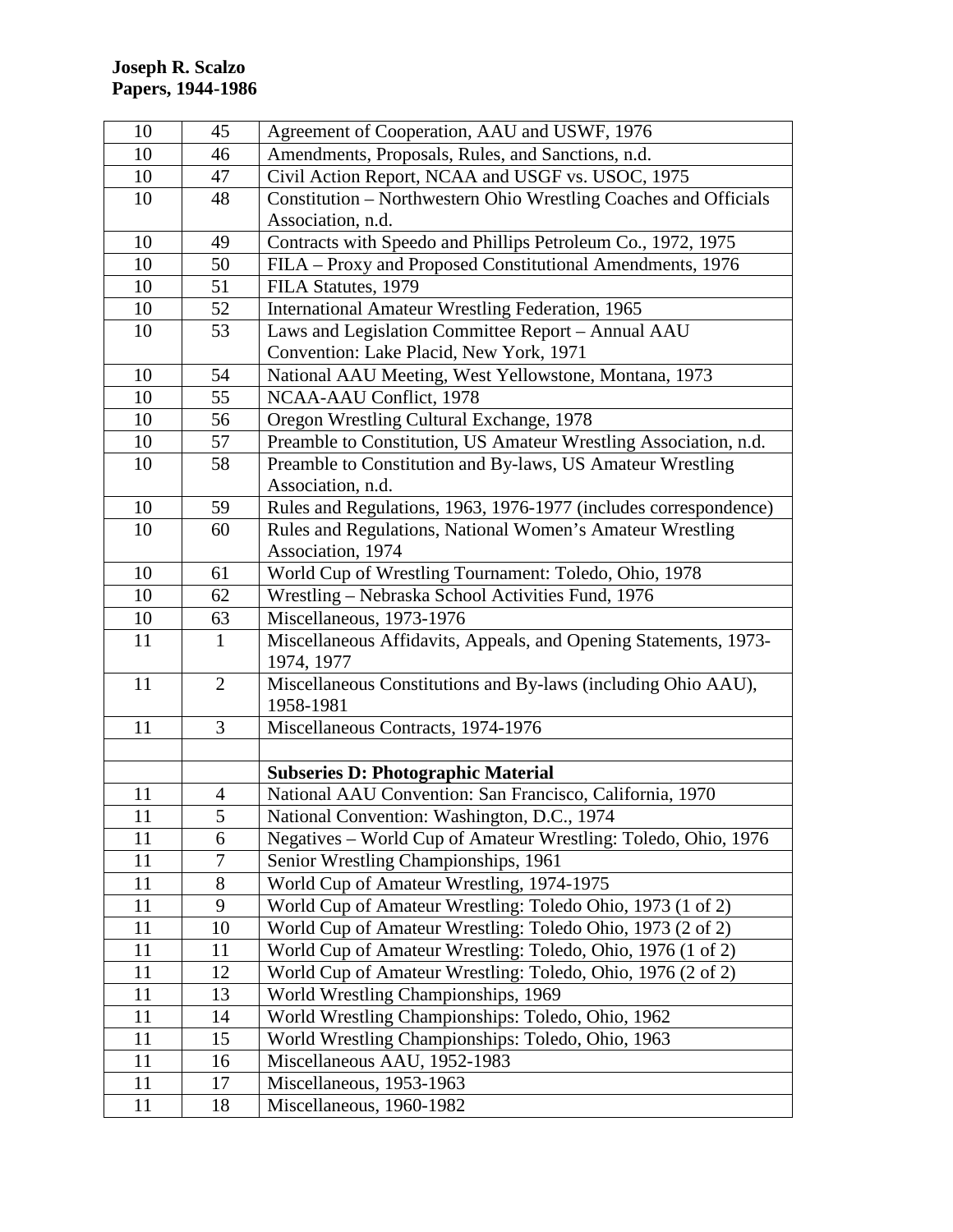| 10 | 45             | Agreement of Cooperation, AAU and USWF, 1976                                   |
|----|----------------|--------------------------------------------------------------------------------|
| 10 | 46             | Amendments, Proposals, Rules, and Sanctions, n.d.                              |
| 10 | 47             | Civil Action Report, NCAA and USGF vs. USOC, 1975                              |
| 10 | 48             | Constitution – Northwestern Ohio Wrestling Coaches and Officials               |
|    |                | Association, n.d.                                                              |
| 10 | 49             | Contracts with Speedo and Phillips Petroleum Co., 1972, 1975                   |
| 10 | 50             | FILA - Proxy and Proposed Constitutional Amendments, 1976                      |
| 10 | 51             | FILA Statutes, 1979                                                            |
| 10 | 52             | International Amateur Wrestling Federation, 1965                               |
| 10 | 53             | Laws and Legislation Committee Report - Annual AAU                             |
|    |                | Convention: Lake Placid, New York, 1971                                        |
| 10 | 54             | National AAU Meeting, West Yellowstone, Montana, 1973                          |
| 10 | 55             | NCAA-AAU Conflict, 1978                                                        |
| 10 | 56             | Oregon Wrestling Cultural Exchange, 1978                                       |
| 10 | 57             | Preamble to Constitution, US Amateur Wrestling Association, n.d.               |
| 10 | 58             | Preamble to Constitution and By-laws, US Amateur Wrestling                     |
|    |                | Association, n.d.                                                              |
| 10 | 59             | Rules and Regulations, 1963, 1976-1977 (includes correspondence)               |
| 10 | 60             | Rules and Regulations, National Women's Amateur Wrestling                      |
|    |                | Association, 1974                                                              |
| 10 | 61             | World Cup of Wrestling Tournament: Toledo, Ohio, 1978                          |
| 10 | 62             | Wrestling – Nebraska School Activities Fund, 1976                              |
| 10 | 63             | Miscellaneous, 1973-1976                                                       |
| 11 | $\mathbf{1}$   | Miscellaneous Affidavits, Appeals, and Opening Statements, 1973-<br>1974, 1977 |
| 11 | $\overline{2}$ | Miscellaneous Constitutions and By-laws (including Ohio AAU),<br>1958-1981     |
| 11 | 3              | Miscellaneous Contracts, 1974-1976                                             |
|    |                |                                                                                |
|    |                | <b>Subseries D: Photographic Material</b>                                      |
| 11 | $\overline{4}$ | National AAU Convention: San Francisco, California, 1970                       |
| 11 | 5              | National Convention: Washington, D.C., 1974                                    |
| 11 | 6              | Negatives – World Cup of Amateur Wrestling: Toledo, Ohio, 1976                 |
| 11 | $\overline{7}$ | Senior Wrestling Championships, 1961                                           |
| 11 | 8              | World Cup of Amateur Wrestling, 1974-1975                                      |
| 11 | 9              | World Cup of Amateur Wrestling: Toledo Ohio, 1973 (1 of 2)                     |
| 11 | 10             | World Cup of Amateur Wrestling: Toledo Ohio, 1973 (2 of 2)                     |
| 11 | 11             | World Cup of Amateur Wrestling: Toledo, Ohio, 1976 (1 of 2)                    |
| 11 | 12             | World Cup of Amateur Wrestling: Toledo, Ohio, 1976 (2 of 2)                    |
| 11 | 13             | World Wrestling Championships, 1969                                            |
| 11 | 14             | World Wrestling Championships: Toledo, Ohio, 1962                              |
| 11 | 15             | World Wrestling Championships: Toledo, Ohio, 1963                              |
| 11 | 16             | Miscellaneous AAU, 1952-1983                                                   |
| 11 | 17             | Miscellaneous, 1953-1963                                                       |
| 11 | 18             | Miscellaneous, 1960-1982                                                       |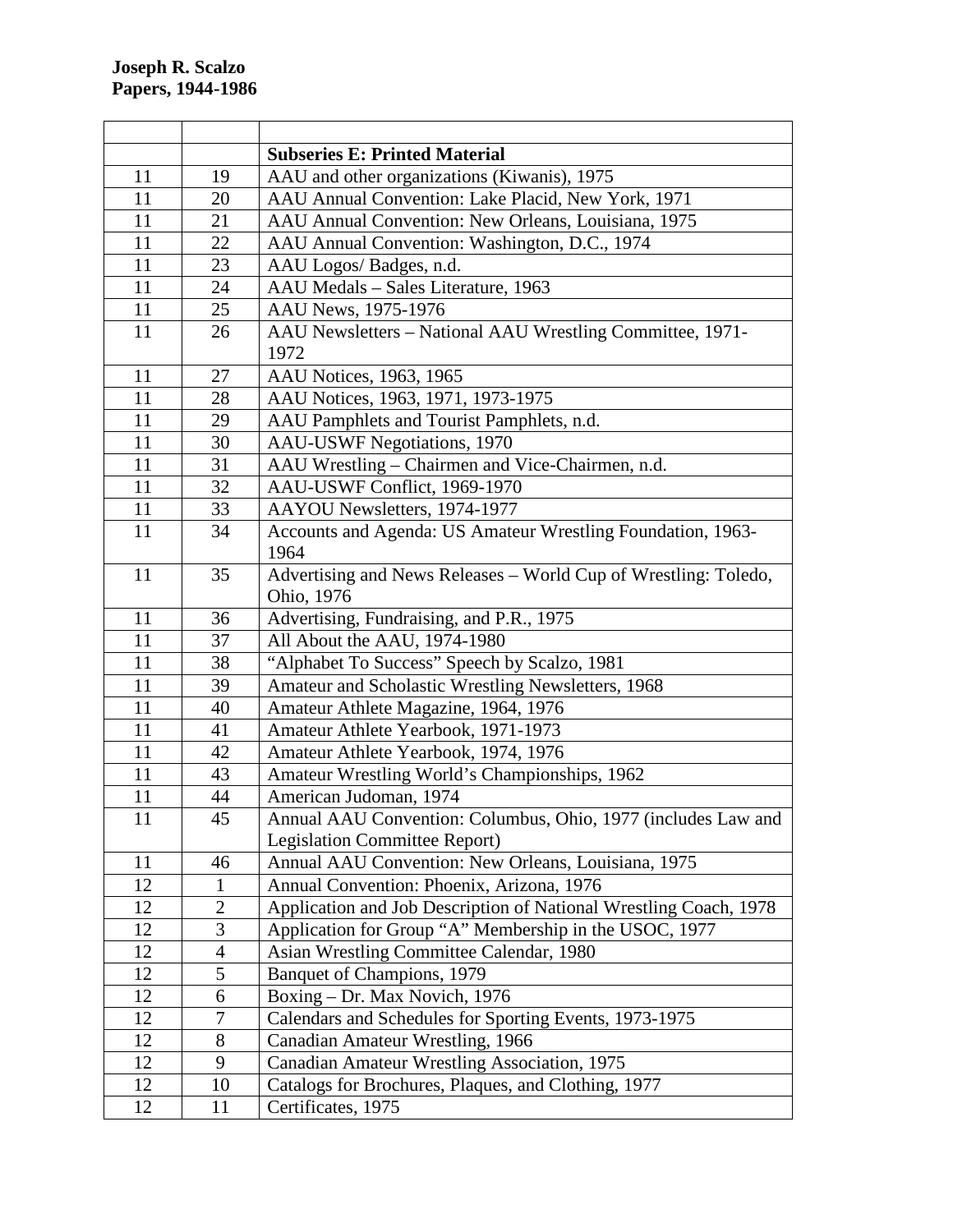|    |                | <b>Subseries E: Printed Material</b>                                          |
|----|----------------|-------------------------------------------------------------------------------|
| 11 | 19             | AAU and other organizations (Kiwanis), 1975                                   |
| 11 | 20             | AAU Annual Convention: Lake Placid, New York, 1971                            |
| 11 | 21             | AAU Annual Convention: New Orleans, Louisiana, 1975                           |
| 11 | 22             | AAU Annual Convention: Washington, D.C., 1974                                 |
| 11 | 23             | AAU Logos/ Badges, n.d.                                                       |
| 11 | 24             | AAU Medals - Sales Literature, 1963                                           |
| 11 | 25             | AAU News, 1975-1976                                                           |
| 11 | 26             | AAU Newsletters - National AAU Wrestling Committee, 1971-<br>1972             |
| 11 | 27             | AAU Notices, 1963, 1965                                                       |
| 11 | 28             | AAU Notices, 1963, 1971, 1973-1975                                            |
| 11 | 29             | AAU Pamphlets and Tourist Pamphlets, n.d.                                     |
| 11 | 30             | <b>AAU-USWF Negotiations, 1970</b>                                            |
| 11 | 31             | AAU Wrestling - Chairmen and Vice-Chairmen, n.d.                              |
| 11 | 32             | AAU-USWF Conflict, 1969-1970                                                  |
| 11 | 33             | AAYOU Newsletters, 1974-1977                                                  |
| 11 | 34             | Accounts and Agenda: US Amateur Wrestling Foundation, 1963-<br>1964           |
| 11 | 35             | Advertising and News Releases - World Cup of Wrestling: Toledo,<br>Ohio, 1976 |
| 11 | 36             | Advertising, Fundraising, and P.R., 1975                                      |
| 11 | 37             | All About the AAU, 1974-1980                                                  |
| 11 | 38             | "Alphabet To Success" Speech by Scalzo, 1981                                  |
| 11 | 39             | Amateur and Scholastic Wrestling Newsletters, 1968                            |
| 11 | 40             | Amateur Athlete Magazine, 1964, 1976                                          |
| 11 | 41             | Amateur Athlete Yearbook, 1971-1973                                           |
| 11 | 42             | Amateur Athlete Yearbook, 1974, 1976                                          |
| 11 | 43             | Amateur Wrestling World's Championships, 1962                                 |
| 11 | 44             | American Judoman, 1974                                                        |
| 11 | 45             | Annual AAU Convention: Columbus, Ohio, 1977 (includes Law and                 |
|    |                | Legislation Committee Report)                                                 |
| 11 | 46             | Annual AAU Convention: New Orleans, Louisiana, 1975                           |
| 12 | $\mathbf{1}$   | Annual Convention: Phoenix, Arizona, 1976                                     |
| 12 | $\overline{2}$ | Application and Job Description of National Wrestling Coach, 1978             |
| 12 | 3              | Application for Group "A" Membership in the USOC, 1977                        |
| 12 | 4              | Asian Wrestling Committee Calendar, 1980                                      |
| 12 | 5              | Banquet of Champions, 1979                                                    |
| 12 | 6              | Boxing - Dr. Max Novich, 1976                                                 |
| 12 | 7              | Calendars and Schedules for Sporting Events, 1973-1975                        |
| 12 | 8              | Canadian Amateur Wrestling, 1966                                              |
| 12 | 9              | Canadian Amateur Wrestling Association, 1975                                  |
| 12 | 10             | Catalogs for Brochures, Plaques, and Clothing, 1977                           |
|    | 11             |                                                                               |
| 12 |                | Certificates, 1975                                                            |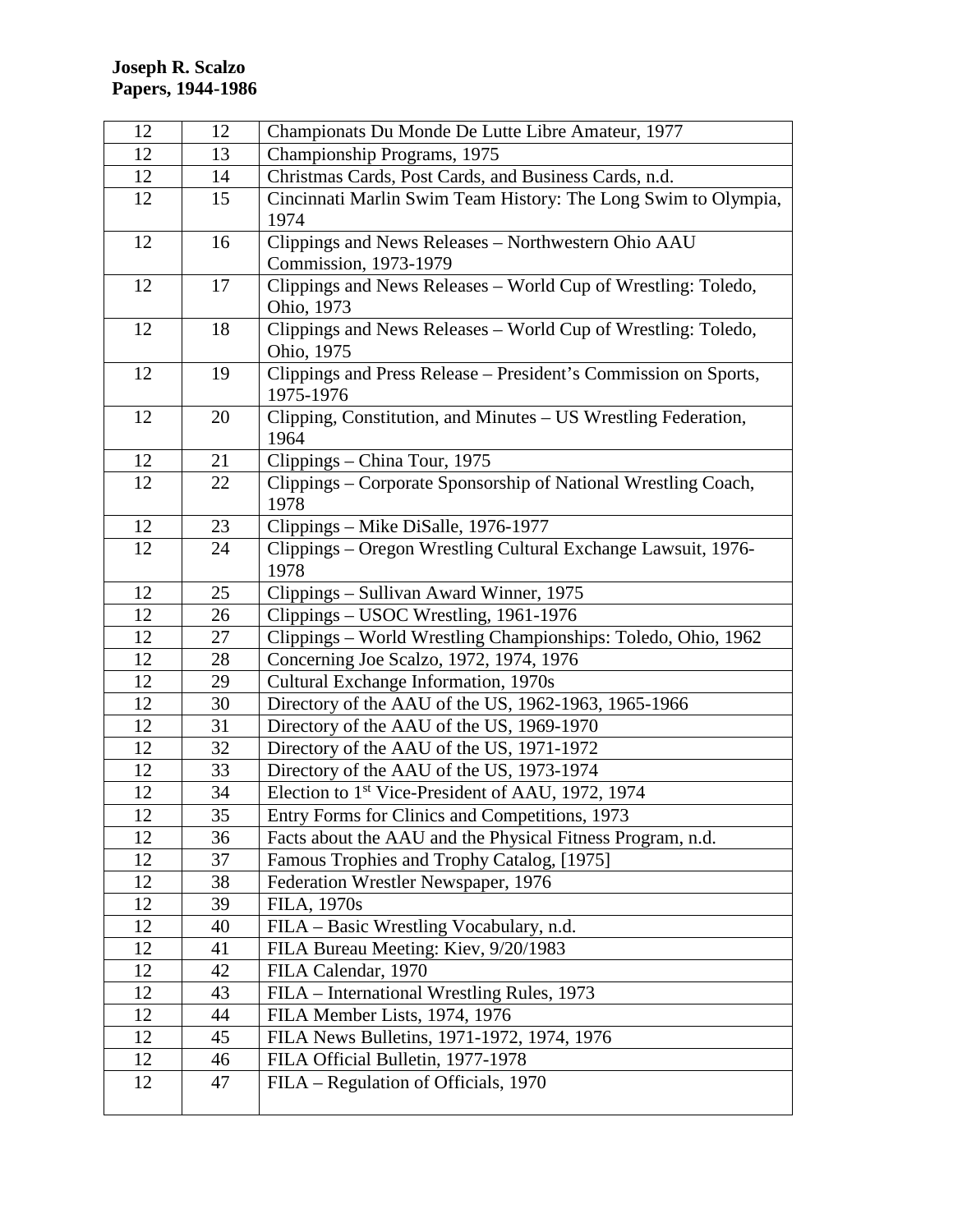| 12       | 12       | Championats Du Monde De Lutte Libre Amateur, 1977                               |
|----------|----------|---------------------------------------------------------------------------------|
| 12       | 13       | Championship Programs, 1975                                                     |
| 12       | 14       | Christmas Cards, Post Cards, and Business Cards, n.d.                           |
| 12       | 15       | Cincinnati Marlin Swim Team History: The Long Swim to Olympia,                  |
|          |          | 1974                                                                            |
| 12       | 16       | Clippings and News Releases - Northwestern Ohio AAU                             |
|          |          | Commission, 1973-1979                                                           |
| 12       | 17       | Clippings and News Releases - World Cup of Wrestling: Toledo,                   |
|          |          | Ohio, 1973                                                                      |
| 12       | 18       | Clippings and News Releases - World Cup of Wrestling: Toledo,                   |
|          |          | Ohio, 1975                                                                      |
| 12       | 19       | Clippings and Press Release - President's Commission on Sports,                 |
|          |          | 1975-1976                                                                       |
| 12       | 20       | Clipping, Constitution, and Minutes - US Wrestling Federation,                  |
|          |          | 1964                                                                            |
| 12       | 21       | Clippings - China Tour, 1975                                                    |
| 12       | 22       | Clippings - Corporate Sponsorship of National Wrestling Coach,                  |
|          |          | 1978                                                                            |
| 12       | 23       | Clippings – Mike DiSalle, 1976-1977                                             |
| 12       | 24       | Clippings - Oregon Wrestling Cultural Exchange Lawsuit, 1976-                   |
|          |          | 1978                                                                            |
| 12       | 25       | Clippings – Sullivan Award Winner, 1975                                         |
| 12       | 26<br>27 | Clippings – USOC Wrestling, 1961-1976                                           |
| 12<br>12 | 28       | Clippings - World Wrestling Championships: Toledo, Ohio, 1962                   |
| 12       | 29       | Concerning Joe Scalzo, 1972, 1974, 1976<br>Cultural Exchange Information, 1970s |
| 12       | 30       | Directory of the AAU of the US, 1962-1963, 1965-1966                            |
| 12       | 31       | Directory of the AAU of the US, 1969-1970                                       |
| 12       | 32       | Directory of the AAU of the US, 1971-1972                                       |
| 12       | 33       | Directory of the AAU of the US, 1973-1974                                       |
| 12       | 34       | Election to 1 <sup>st</sup> Vice-President of AAU, 1972, 1974                   |
| 12       | 35       | Entry Forms for Clinics and Competitions, 1973                                  |
| 12       | 36       | Facts about the AAU and the Physical Fitness Program, n.d.                      |
| 12       | 37       | Famous Trophies and Trophy Catalog, [1975]                                      |
| 12       | 38       | Federation Wrestler Newspaper, 1976                                             |
| 12       | 39       | FILA, 1970s                                                                     |
| 12       | 40       | FILA – Basic Wrestling Vocabulary, n.d.                                         |
| 12       | 41       | FILA Bureau Meeting: Kiev, 9/20/1983                                            |
| 12       | 42       | FILA Calendar, 1970                                                             |
| 12       | 43       | FILA – International Wrestling Rules, 1973                                      |
| 12       | 44       | FILA Member Lists, 1974, 1976                                                   |
| 12       | 45       | FILA News Bulletins, 1971-1972, 1974, 1976                                      |
| 12       | 46       | FILA Official Bulletin, 1977-1978                                               |
| 12       | 47       | FILA – Regulation of Officials, 1970                                            |
|          |          |                                                                                 |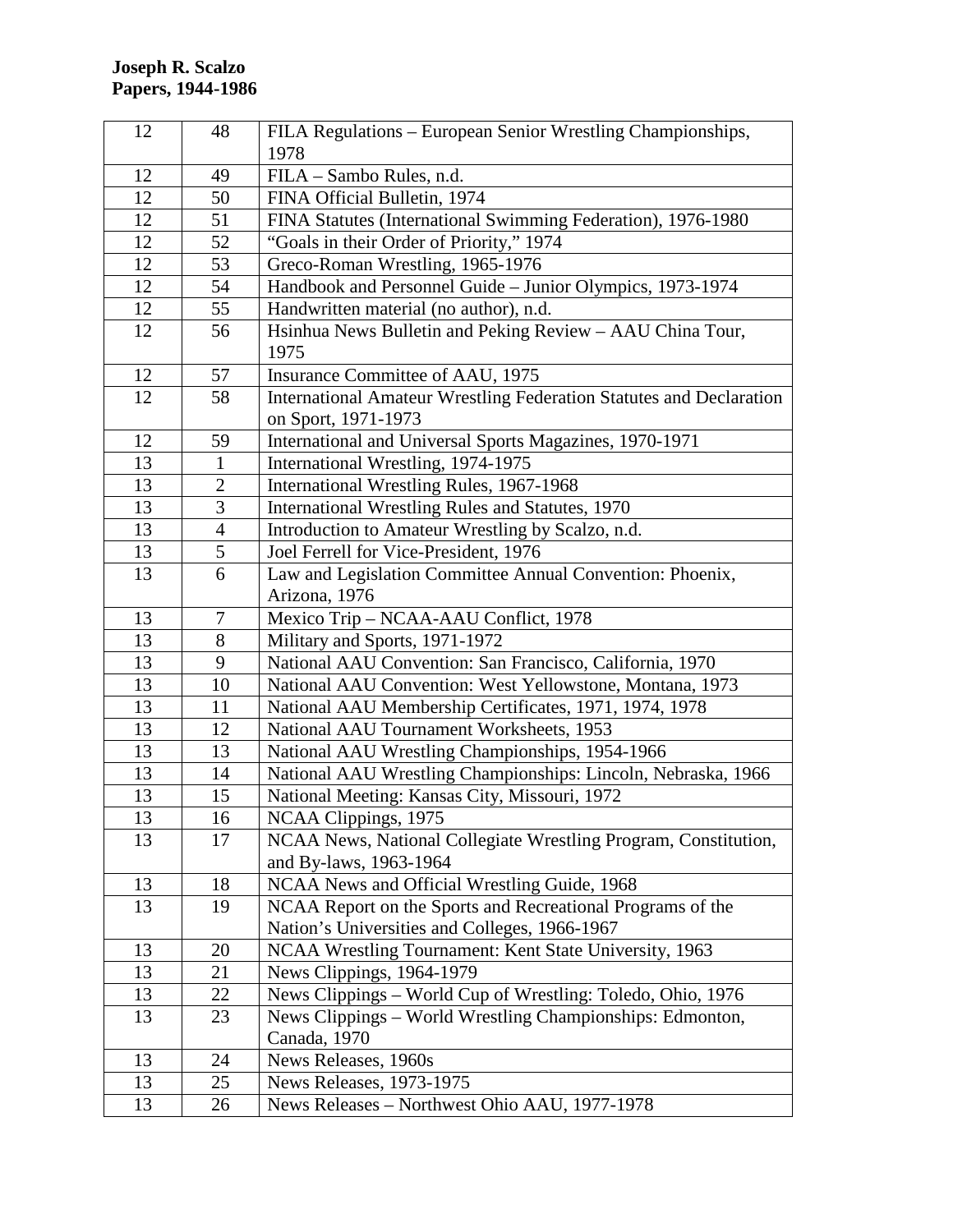| 12 | 48             | FILA Regulations - European Senior Wrestling Championships,         |
|----|----------------|---------------------------------------------------------------------|
|    |                | 1978                                                                |
| 12 | 49             | FILA - Sambo Rules, n.d.                                            |
| 12 | 50             | FINA Official Bulletin, 1974                                        |
| 12 | 51             | FINA Statutes (International Swimming Federation), 1976-1980        |
| 12 | 52             | "Goals in their Order of Priority," 1974                            |
| 12 | 53             | Greco-Roman Wrestling, 1965-1976                                    |
| 12 | 54             | Handbook and Personnel Guide - Junior Olympics, 1973-1974           |
| 12 | 55             | Handwritten material (no author), n.d.                              |
| 12 | 56             | Hsinhua News Bulletin and Peking Review - AAU China Tour,           |
|    |                | 1975                                                                |
| 12 | 57             | Insurance Committee of AAU, 1975                                    |
| 12 | 58             | International Amateur Wrestling Federation Statutes and Declaration |
|    |                | on Sport, 1971-1973                                                 |
| 12 | 59             | International and Universal Sports Magazines, 1970-1971             |
| 13 | $\mathbf{1}$   | International Wrestling, 1974-1975                                  |
| 13 | $\overline{2}$ | International Wrestling Rules, 1967-1968                            |
| 13 | 3              | International Wrestling Rules and Statutes, 1970                    |
| 13 | $\overline{4}$ | Introduction to Amateur Wrestling by Scalzo, n.d.                   |
| 13 | 5              | Joel Ferrell for Vice-President, 1976                               |
| 13 | 6              | Law and Legislation Committee Annual Convention: Phoenix,           |
|    |                | Arizona, 1976                                                       |
| 13 | 7              | Mexico Trip - NCAA-AAU Conflict, 1978                               |
| 13 | 8              | Military and Sports, 1971-1972                                      |
| 13 | 9              | National AAU Convention: San Francisco, California, 1970            |
| 13 | 10             | National AAU Convention: West Yellowstone, Montana, 1973            |
| 13 | 11             | National AAU Membership Certificates, 1971, 1974, 1978              |
| 13 | 12             | National AAU Tournament Worksheets, 1953                            |
| 13 | 13             | National AAU Wrestling Championships, 1954-1966                     |
| 13 | 14             | National AAU Wrestling Championships: Lincoln, Nebraska, 1966       |
| 13 | 15             | National Meeting: Kansas City, Missouri, 1972                       |
| 13 | 16             | NCAA Clippings, 1975                                                |
| 13 | 17             | NCAA News, National Collegiate Wrestling Program, Constitution,     |
|    |                | and By-laws, 1963-1964                                              |
| 13 | 18             | NCAA News and Official Wrestling Guide, 1968                        |
| 13 | 19             | NCAA Report on the Sports and Recreational Programs of the          |
|    |                | Nation's Universities and Colleges, 1966-1967                       |
| 13 | 20             | NCAA Wrestling Tournament: Kent State University, 1963              |
| 13 | 21             | News Clippings, 1964-1979                                           |
| 13 | 22             | News Clippings - World Cup of Wrestling: Toledo, Ohio, 1976         |
| 13 | 23             | News Clippings - World Wrestling Championships: Edmonton,           |
|    |                | Canada, 1970                                                        |
| 13 | 24             | News Releases, 1960s                                                |
| 13 | 25             | News Releases, 1973-1975                                            |
| 13 | 26             | News Releases - Northwest Ohio AAU, 1977-1978                       |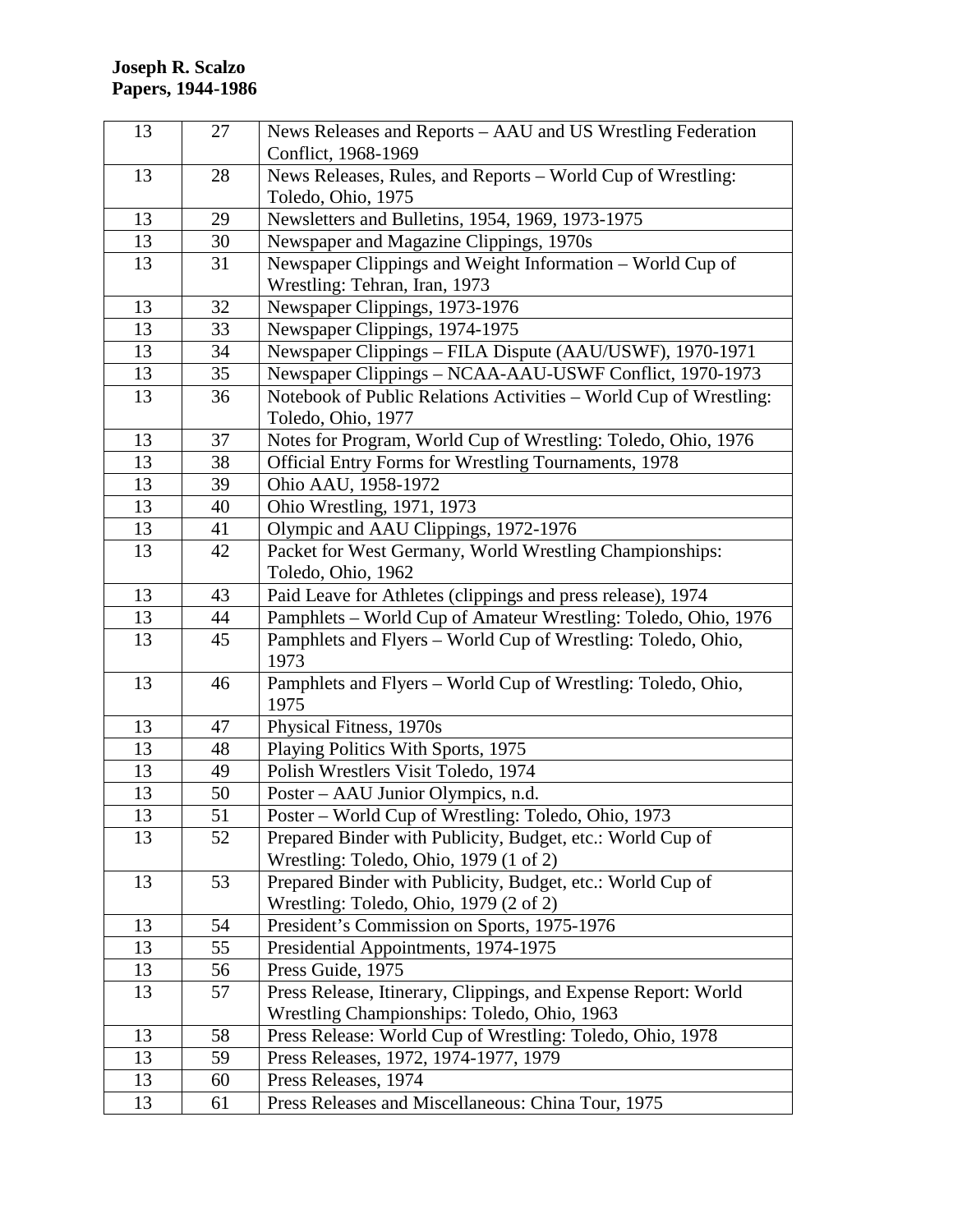| 13 | 27 | News Releases and Reports - AAU and US Wrestling Federation          |
|----|----|----------------------------------------------------------------------|
|    |    | Conflict, 1968-1969                                                  |
| 13 | 28 | News Releases, Rules, and Reports – World Cup of Wrestling:          |
|    |    | Toledo, Ohio, 1975                                                   |
| 13 | 29 | Newsletters and Bulletins, 1954, 1969, 1973-1975                     |
| 13 | 30 | Newspaper and Magazine Clippings, 1970s                              |
| 13 | 31 | Newspaper Clippings and Weight Information - World Cup of            |
|    |    | Wrestling: Tehran, Iran, 1973                                        |
| 13 | 32 | Newspaper Clippings, 1973-1976                                       |
| 13 | 33 | Newspaper Clippings, 1974-1975                                       |
| 13 | 34 | Newspaper Clippings - FILA Dispute (AAU/USWF), 1970-1971             |
| 13 | 35 | Newspaper Clippings - NCAA-AAU-USWF Conflict, 1970-1973              |
| 13 | 36 | Notebook of Public Relations Activities - World Cup of Wrestling:    |
|    |    | Toledo, Ohio, 1977                                                   |
| 13 | 37 | Notes for Program, World Cup of Wrestling: Toledo, Ohio, 1976        |
| 13 | 38 | <b>Official Entry Forms for Wrestling Tournaments, 1978</b>          |
| 13 | 39 | Ohio AAU, 1958-1972                                                  |
| 13 | 40 | Ohio Wrestling, 1971, 1973                                           |
| 13 | 41 | Olympic and AAU Clippings, 1972-1976                                 |
| 13 | 42 | Packet for West Germany, World Wrestling Championships:              |
|    |    | Toledo, Ohio, 1962                                                   |
| 13 | 43 | Paid Leave for Athletes (clippings and press release), 1974          |
| 13 | 44 | Pamphlets - World Cup of Amateur Wrestling: Toledo, Ohio, 1976       |
| 13 | 45 | Pamphlets and Flyers - World Cup of Wrestling: Toledo, Ohio,<br>1973 |
| 13 | 46 | Pamphlets and Flyers – World Cup of Wrestling: Toledo, Ohio,<br>1975 |
| 13 | 47 | Physical Fitness, 1970s                                              |
| 13 | 48 | Playing Politics With Sports, 1975                                   |
| 13 | 49 | Polish Wrestlers Visit Toledo, 1974                                  |
| 13 | 50 | Poster – AAU Junior Olympics, n.d.                                   |
| 13 | 51 | Poster - World Cup of Wrestling: Toledo, Ohio, 1973                  |
| 13 | 52 | Prepared Binder with Publicity, Budget, etc.: World Cup of           |
|    |    | Wrestling: Toledo, Ohio, 1979 (1 of 2)                               |
| 13 | 53 | Prepared Binder with Publicity, Budget, etc.: World Cup of           |
|    |    | Wrestling: Toledo, Ohio, 1979 (2 of 2)                               |
| 13 | 54 | President's Commission on Sports, 1975-1976                          |
| 13 | 55 | Presidential Appointments, 1974-1975                                 |
| 13 | 56 | Press Guide, 1975                                                    |
| 13 | 57 | Press Release, Itinerary, Clippings, and Expense Report: World       |
|    |    | Wrestling Championships: Toledo, Ohio, 1963                          |
| 13 | 58 | Press Release: World Cup of Wrestling: Toledo, Ohio, 1978            |
| 13 | 59 | Press Releases, 1972, 1974-1977, 1979                                |
| 13 | 60 | Press Releases, 1974                                                 |
| 13 | 61 | Press Releases and Miscellaneous: China Tour, 1975                   |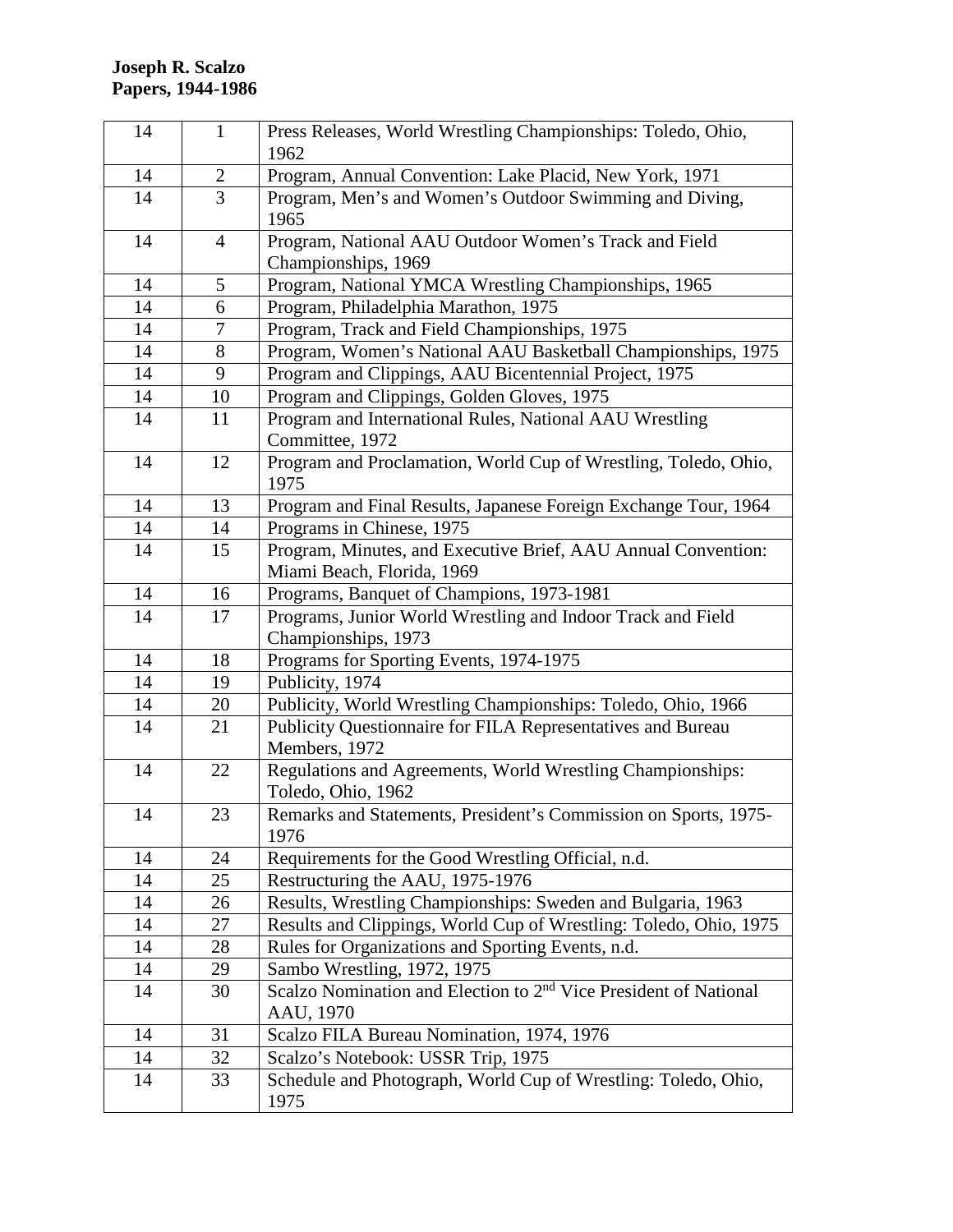| 14 | $\mathbf{1}$   | Press Releases, World Wrestling Championships: Toledo, Ohio,<br>1962                      |
|----|----------------|-------------------------------------------------------------------------------------------|
| 14 | $\overline{2}$ | Program, Annual Convention: Lake Placid, New York, 1971                                   |
| 14 | $\overline{3}$ | Program, Men's and Women's Outdoor Swimming and Diving,<br>1965                           |
| 14 | $\overline{4}$ | Program, National AAU Outdoor Women's Track and Field<br>Championships, 1969              |
| 14 | 5              | Program, National YMCA Wrestling Championships, 1965                                      |
| 14 | 6              | Program, Philadelphia Marathon, 1975                                                      |
| 14 | $\tau$         | Program, Track and Field Championships, 1975                                              |
| 14 | 8              | Program, Women's National AAU Basketball Championships, 1975                              |
| 14 | 9              | Program and Clippings, AAU Bicentennial Project, 1975                                     |
| 14 | 10             | Program and Clippings, Golden Gloves, 1975                                                |
| 14 | 11             | Program and International Rules, National AAU Wrestling<br>Committee, 1972                |
| 14 | 12             | Program and Proclamation, World Cup of Wrestling, Toledo, Ohio,<br>1975                   |
| 14 | 13             | Program and Final Results, Japanese Foreign Exchange Tour, 1964                           |
| 14 | 14             | Programs in Chinese, 1975                                                                 |
| 14 | 15             | Program, Minutes, and Executive Brief, AAU Annual Convention:                             |
|    |                | Miami Beach, Florida, 1969                                                                |
| 14 | 16             | Programs, Banquet of Champions, 1973-1981                                                 |
| 14 | 17             | Programs, Junior World Wrestling and Indoor Track and Field<br>Championships, 1973        |
| 14 | 18             | Programs for Sporting Events, 1974-1975                                                   |
| 14 | 19             | Publicity, 1974                                                                           |
| 14 | 20             | Publicity, World Wrestling Championships: Toledo, Ohio, 1966                              |
| 14 | 21             | Publicity Questionnaire for FILA Representatives and Bureau<br>Members, 1972              |
| 14 | 22             | Regulations and Agreements, World Wrestling Championships:<br>Toledo, Ohio, 1962          |
| 14 | 23             | Remarks and Statements, President's Commission on Sports, 1975-<br>1976                   |
| 14 | 24             | Requirements for the Good Wrestling Official, n.d.                                        |
| 14 | 25             | Restructuring the AAU, 1975-1976                                                          |
| 14 | 26             | Results, Wrestling Championships: Sweden and Bulgaria, 1963                               |
| 14 | 27             | Results and Clippings, World Cup of Wrestling: Toledo, Ohio, 1975                         |
| 14 | 28             | Rules for Organizations and Sporting Events, n.d.                                         |
| 14 | 29             | Sambo Wrestling, 1972, 1975                                                               |
| 14 | 30             | Scalzo Nomination and Election to 2 <sup>nd</sup> Vice President of National<br>AAU, 1970 |
| 14 | 31             | Scalzo FILA Bureau Nomination, 1974, 1976                                                 |
| 14 | 32             | Scalzo's Notebook: USSR Trip, 1975                                                        |
| 14 | 33             | Schedule and Photograph, World Cup of Wrestling: Toledo, Ohio,<br>1975                    |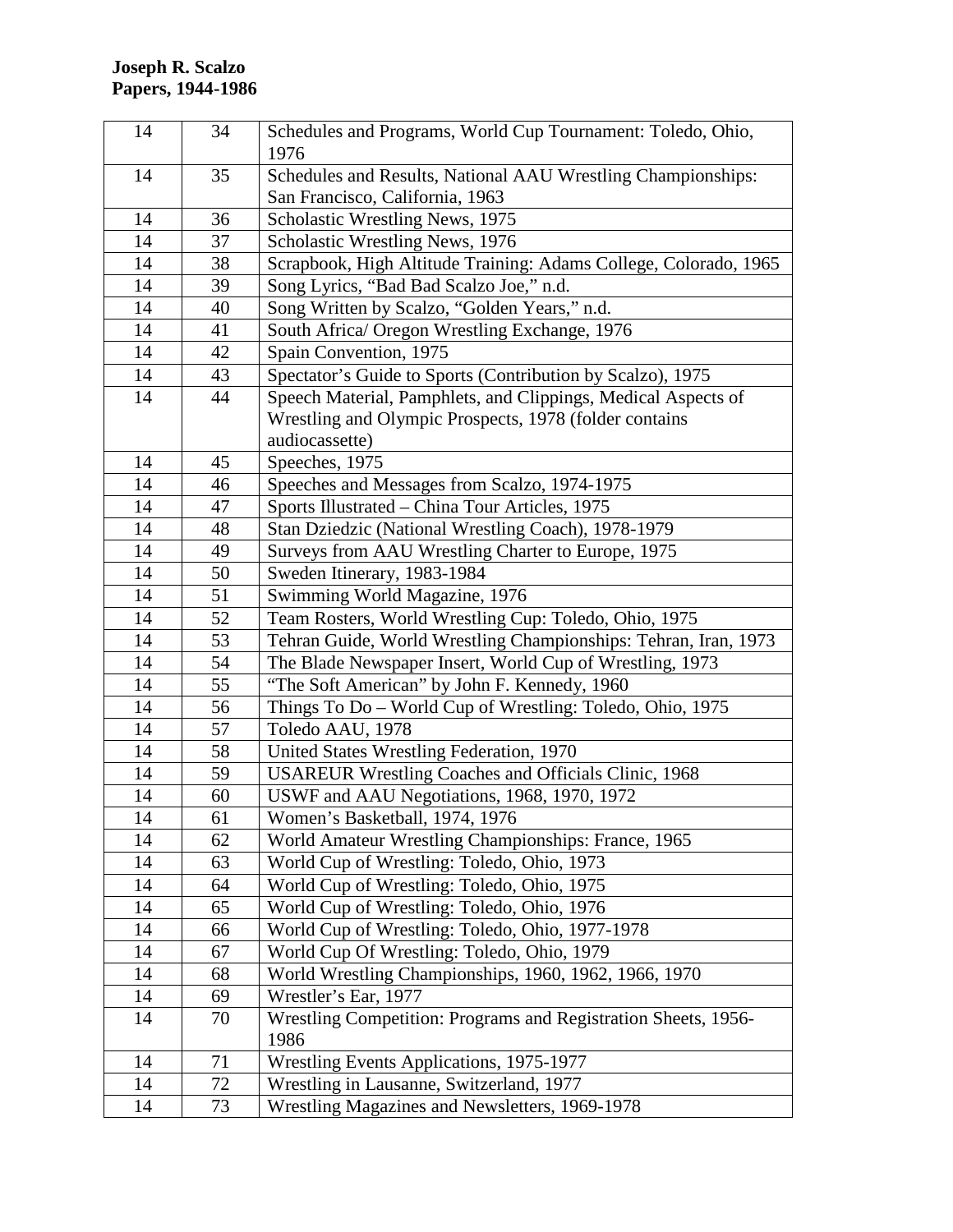| 14 | 34 | Schedules and Programs, World Cup Tournament: Toledo, Ohio,<br>1976    |
|----|----|------------------------------------------------------------------------|
| 14 | 35 | Schedules and Results, National AAU Wrestling Championships:           |
|    |    | San Francisco, California, 1963                                        |
| 14 | 36 | Scholastic Wrestling News, 1975                                        |
| 14 | 37 | Scholastic Wrestling News, 1976                                        |
| 14 | 38 | Scrapbook, High Altitude Training: Adams College, Colorado, 1965       |
| 14 | 39 | Song Lyrics, "Bad Bad Scalzo Joe," n.d.                                |
| 14 | 40 | Song Written by Scalzo, "Golden Years," n.d.                           |
| 14 | 41 | South Africa/ Oregon Wrestling Exchange, 1976                          |
| 14 | 42 | Spain Convention, 1975                                                 |
| 14 | 43 | Spectator's Guide to Sports (Contribution by Scalzo), 1975             |
| 14 | 44 | Speech Material, Pamphlets, and Clippings, Medical Aspects of          |
|    |    | Wrestling and Olympic Prospects, 1978 (folder contains                 |
|    |    | audiocassette)                                                         |
| 14 | 45 | Speeches, 1975                                                         |
| 14 | 46 | Speeches and Messages from Scalzo, 1974-1975                           |
| 14 | 47 | Sports Illustrated - China Tour Articles, 1975                         |
| 14 | 48 | Stan Dziedzic (National Wrestling Coach), 1978-1979                    |
| 14 | 49 | Surveys from AAU Wrestling Charter to Europe, 1975                     |
| 14 | 50 | Sweden Itinerary, 1983-1984                                            |
| 14 | 51 | Swimming World Magazine, 1976                                          |
| 14 | 52 | Team Rosters, World Wrestling Cup: Toledo, Ohio, 1975                  |
| 14 | 53 | Tehran Guide, World Wrestling Championships: Tehran, Iran, 1973        |
| 14 | 54 | The Blade Newspaper Insert, World Cup of Wrestling, 1973               |
| 14 | 55 | "The Soft American" by John F. Kennedy, 1960                           |
| 14 | 56 | Things To Do - World Cup of Wrestling: Toledo, Ohio, 1975              |
| 14 | 57 | Toledo AAU, 1978                                                       |
| 14 | 58 | United States Wrestling Federation, 1970                               |
| 14 | 59 | <b>USAREUR Wrestling Coaches and Officials Clinic, 1968</b>            |
| 14 | 60 | USWF and AAU Negotiations, 1968, 1970, 1972                            |
| 14 | 61 | Women's Basketball, 1974, 1976                                         |
| 14 | 62 | World Amateur Wrestling Championships: France, 1965                    |
| 14 | 63 | World Cup of Wrestling: Toledo, Ohio, 1973                             |
| 14 | 64 | World Cup of Wrestling: Toledo, Ohio, 1975                             |
| 14 | 65 | World Cup of Wrestling: Toledo, Ohio, 1976                             |
| 14 | 66 | World Cup of Wrestling: Toledo, Ohio, 1977-1978                        |
| 14 | 67 | World Cup Of Wrestling: Toledo, Ohio, 1979                             |
| 14 | 68 | World Wrestling Championships, 1960, 1962, 1966, 1970                  |
| 14 | 69 | Wrestler's Ear, 1977                                                   |
| 14 | 70 | Wrestling Competition: Programs and Registration Sheets, 1956-<br>1986 |
| 14 | 71 | Wrestling Events Applications, 1975-1977                               |
| 14 | 72 | Wrestling in Lausanne, Switzerland, 1977                               |
| 14 | 73 | Wrestling Magazines and Newsletters, 1969-1978                         |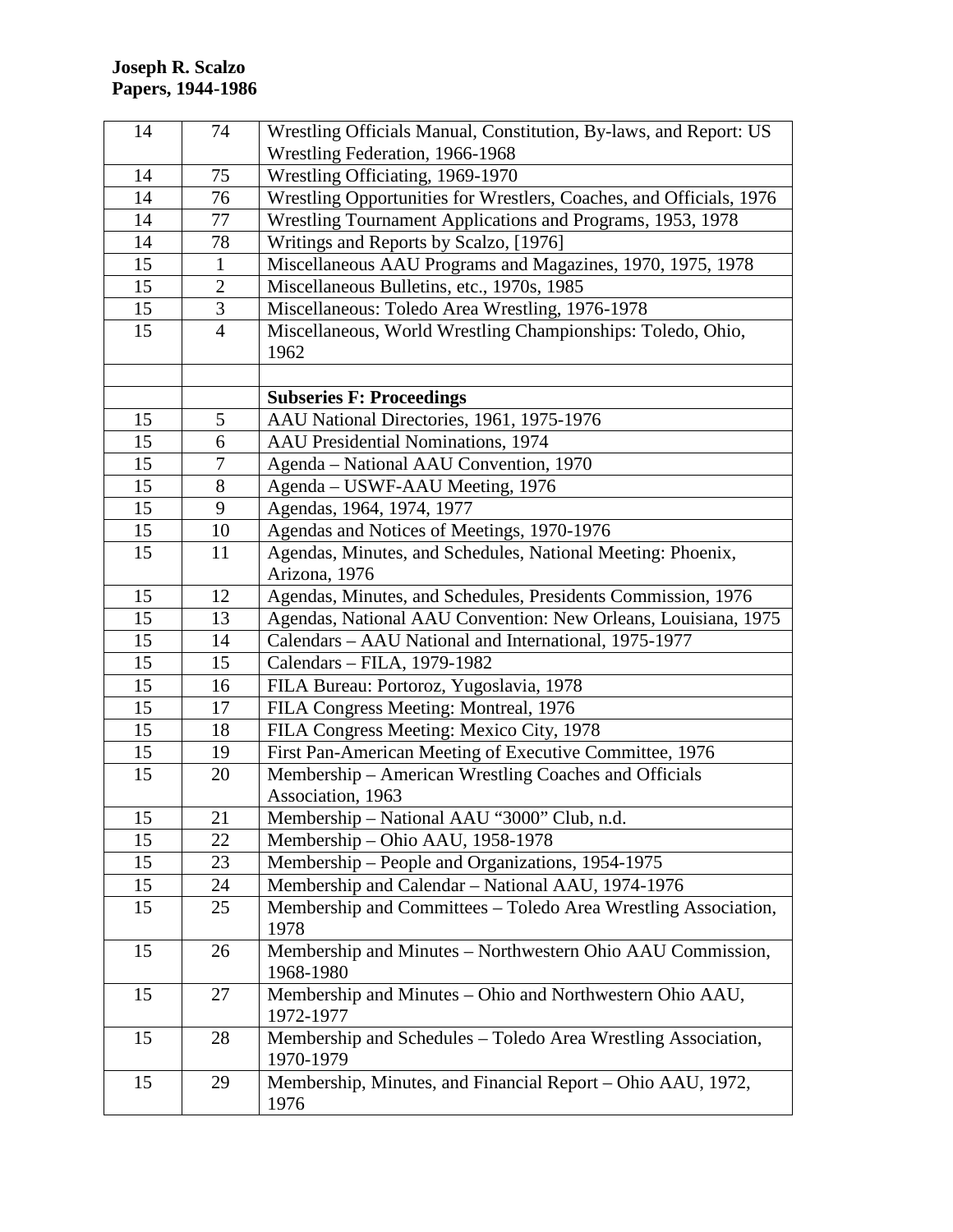| 14 | 74             | Wrestling Officials Manual, Constitution, By-laws, and Report: US   |
|----|----------------|---------------------------------------------------------------------|
|    |                | Wrestling Federation, 1966-1968                                     |
| 14 | 75             | Wrestling Officiating, 1969-1970                                    |
| 14 | 76             | Wrestling Opportunities for Wrestlers, Coaches, and Officials, 1976 |
| 14 | 77             | Wrestling Tournament Applications and Programs, 1953, 1978          |
| 14 | 78             | Writings and Reports by Scalzo, [1976]                              |
| 15 | $\mathbf{1}$   | Miscellaneous AAU Programs and Magazines, 1970, 1975, 1978          |
| 15 | 2              | Miscellaneous Bulletins, etc., 1970s, 1985                          |
| 15 | 3              | Miscellaneous: Toledo Area Wrestling, 1976-1978                     |
| 15 | $\overline{4}$ | Miscellaneous, World Wrestling Championships: Toledo, Ohio,         |
|    |                | 1962                                                                |
|    |                |                                                                     |
|    |                | <b>Subseries F: Proceedings</b>                                     |
| 15 | 5              | AAU National Directories, 1961, 1975-1976                           |
| 15 | 6              | AAU Presidential Nominations, 1974                                  |
| 15 | 7              | Agenda - National AAU Convention, 1970                              |
| 15 | 8              | Agenda – USWF-AAU Meeting, 1976                                     |
| 15 | 9              | Agendas, 1964, 1974, 1977                                           |
| 15 | 10             | Agendas and Notices of Meetings, 1970-1976                          |
| 15 | 11             | Agendas, Minutes, and Schedules, National Meeting: Phoenix,         |
|    |                | Arizona, 1976                                                       |
| 15 | 12             | Agendas, Minutes, and Schedules, Presidents Commission, 1976        |
| 15 | 13             | Agendas, National AAU Convention: New Orleans, Louisiana, 1975      |
| 15 | 14             | Calendars - AAU National and International, 1975-1977               |
| 15 | 15             | Calendars - FILA, 1979-1982                                         |
| 15 | 16             | FILA Bureau: Portoroz, Yugoslavia, 1978                             |
| 15 | 17             | FILA Congress Meeting: Montreal, 1976                               |
| 15 | 18             | FILA Congress Meeting: Mexico City, 1978                            |
| 15 | 19             | First Pan-American Meeting of Executive Committee, 1976             |
| 15 | 20             | Membership - American Wrestling Coaches and Officials               |
|    |                | Association, 1963                                                   |
| 15 | 21             | Membership - National AAU "3000" Club, n.d.                         |
| 15 | 22             | Membership - Ohio AAU, 1958-1978                                    |
| 15 | 23             | Membership – People and Organizations, 1954-1975                    |
| 15 | 24             | Membership and Calendar - National AAU, 1974-1976                   |
| 15 | 25             | Membership and Committees - Toledo Area Wrestling Association,      |
|    |                | 1978                                                                |
| 15 | 26             | Membership and Minutes - Northwestern Ohio AAU Commission,          |
|    |                | 1968-1980                                                           |
| 15 | 27             | Membership and Minutes - Ohio and Northwestern Ohio AAU,            |
|    |                | 1972-1977                                                           |
| 15 | 28             | Membership and Schedules - Toledo Area Wrestling Association,       |
|    |                | 1970-1979                                                           |
| 15 | 29             | Membership, Minutes, and Financial Report - Ohio AAU, 1972,         |
|    |                | 1976                                                                |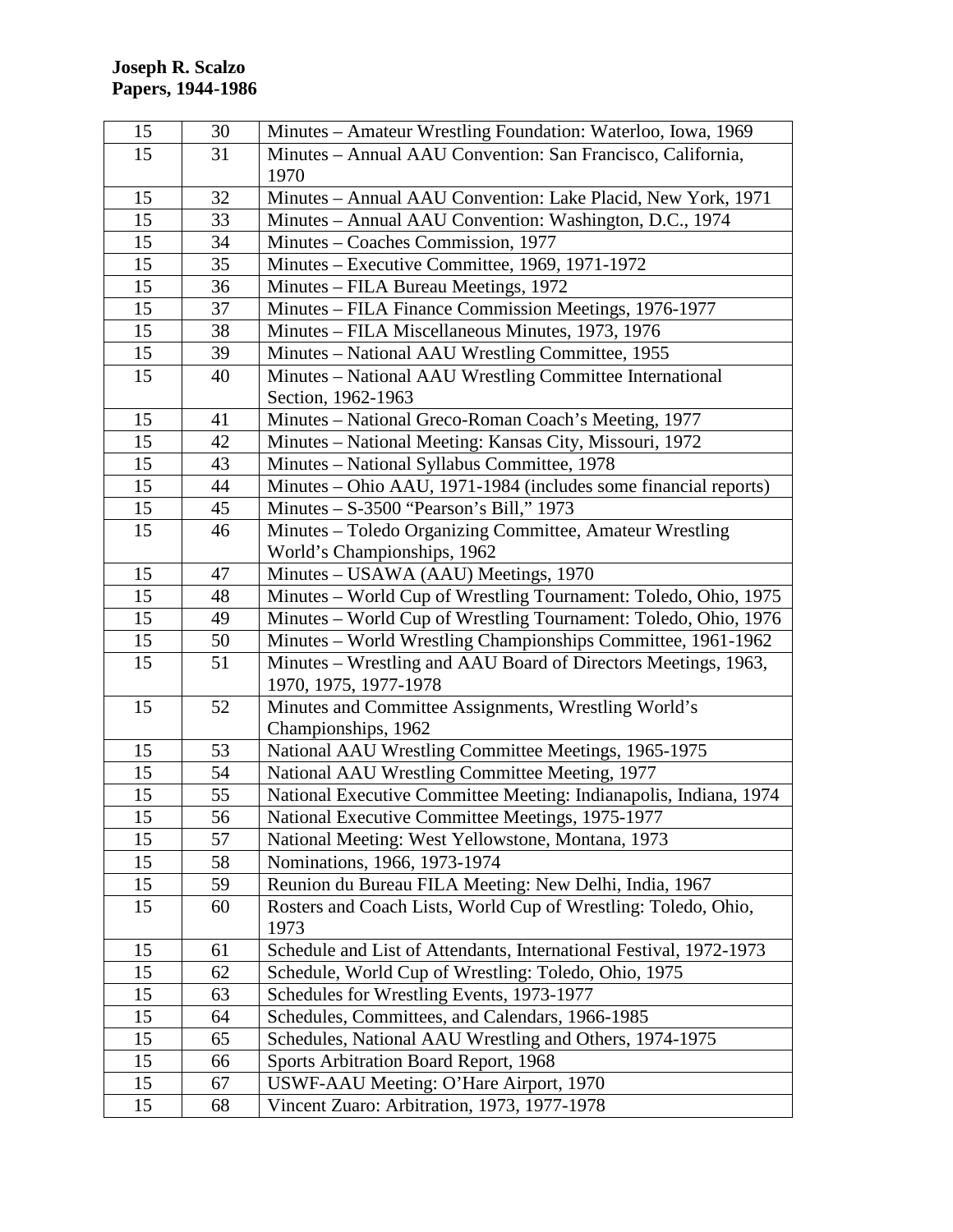| 15 | 30 | Minutes – Amateur Wrestling Foundation: Waterloo, Iowa, 1969       |
|----|----|--------------------------------------------------------------------|
| 15 | 31 | Minutes - Annual AAU Convention: San Francisco, California,        |
|    |    | 1970                                                               |
| 15 | 32 | Minutes - Annual AAU Convention: Lake Placid, New York, 1971       |
| 15 | 33 | Minutes – Annual AAU Convention: Washington, D.C., 1974            |
| 15 | 34 | Minutes – Coaches Commission, 1977                                 |
| 15 | 35 | Minutes – Executive Committee, 1969, 1971-1972                     |
| 15 | 36 | Minutes - FILA Bureau Meetings, 1972                               |
| 15 | 37 | Minutes – FILA Finance Commission Meetings, 1976-1977              |
| 15 | 38 | Minutes – FILA Miscellaneous Minutes, 1973, 1976                   |
| 15 | 39 | Minutes - National AAU Wrestling Committee, 1955                   |
| 15 | 40 | Minutes - National AAU Wrestling Committee International           |
|    |    | Section, 1962-1963                                                 |
| 15 | 41 | Minutes - National Greco-Roman Coach's Meeting, 1977               |
| 15 | 42 | Minutes – National Meeting: Kansas City, Missouri, 1972            |
| 15 | 43 | Minutes - National Syllabus Committee, 1978                        |
| 15 | 44 | Minutes – Ohio AAU, 1971-1984 (includes some financial reports)    |
| 15 | 45 | Minutes $-$ S-3500 "Pearson's Bill," 1973                          |
| 15 | 46 | Minutes - Toledo Organizing Committee, Amateur Wrestling           |
|    |    | World's Championships, 1962                                        |
| 15 | 47 | Minutes - USAWA (AAU) Meetings, 1970                               |
| 15 | 48 | Minutes - World Cup of Wrestling Tournament: Toledo, Ohio, 1975    |
| 15 | 49 | Minutes - World Cup of Wrestling Tournament: Toledo, Ohio, 1976    |
| 15 | 50 | Minutes - World Wrestling Championships Committee, 1961-1962       |
| 15 | 51 | Minutes – Wrestling and AAU Board of Directors Meetings, 1963,     |
|    |    | 1970, 1975, 1977-1978                                              |
| 15 | 52 | Minutes and Committee Assignments, Wrestling World's               |
|    |    | Championships, 1962                                                |
| 15 | 53 | National AAU Wrestling Committee Meetings, 1965-1975               |
| 15 | 54 | National AAU Wrestling Committee Meeting, 1977                     |
| 15 | 55 | National Executive Committee Meeting: Indianapolis, Indiana, 1974  |
| 15 | 56 | National Executive Committee Meetings, 1975-1977                   |
| 15 | 57 | National Meeting: West Yellowstone, Montana, 1973                  |
| 15 | 58 | Nominations, 1966, 1973-1974                                       |
| 15 | 59 | Reunion du Bureau FILA Meeting: New Delhi, India, 1967             |
| 15 | 60 | Rosters and Coach Lists, World Cup of Wrestling: Toledo, Ohio,     |
|    |    | 1973                                                               |
| 15 | 61 | Schedule and List of Attendants, International Festival, 1972-1973 |
| 15 | 62 | Schedule, World Cup of Wrestling: Toledo, Ohio, 1975               |
| 15 | 63 | Schedules for Wrestling Events, 1973-1977                          |
| 15 | 64 | Schedules, Committees, and Calendars, 1966-1985                    |
| 15 | 65 | Schedules, National AAU Wrestling and Others, 1974-1975            |
| 15 | 66 | Sports Arbitration Board Report, 1968                              |
| 15 | 67 | USWF-AAU Meeting: O'Hare Airport, 1970                             |
| 15 | 68 | Vincent Zuaro: Arbitration, 1973, 1977-1978                        |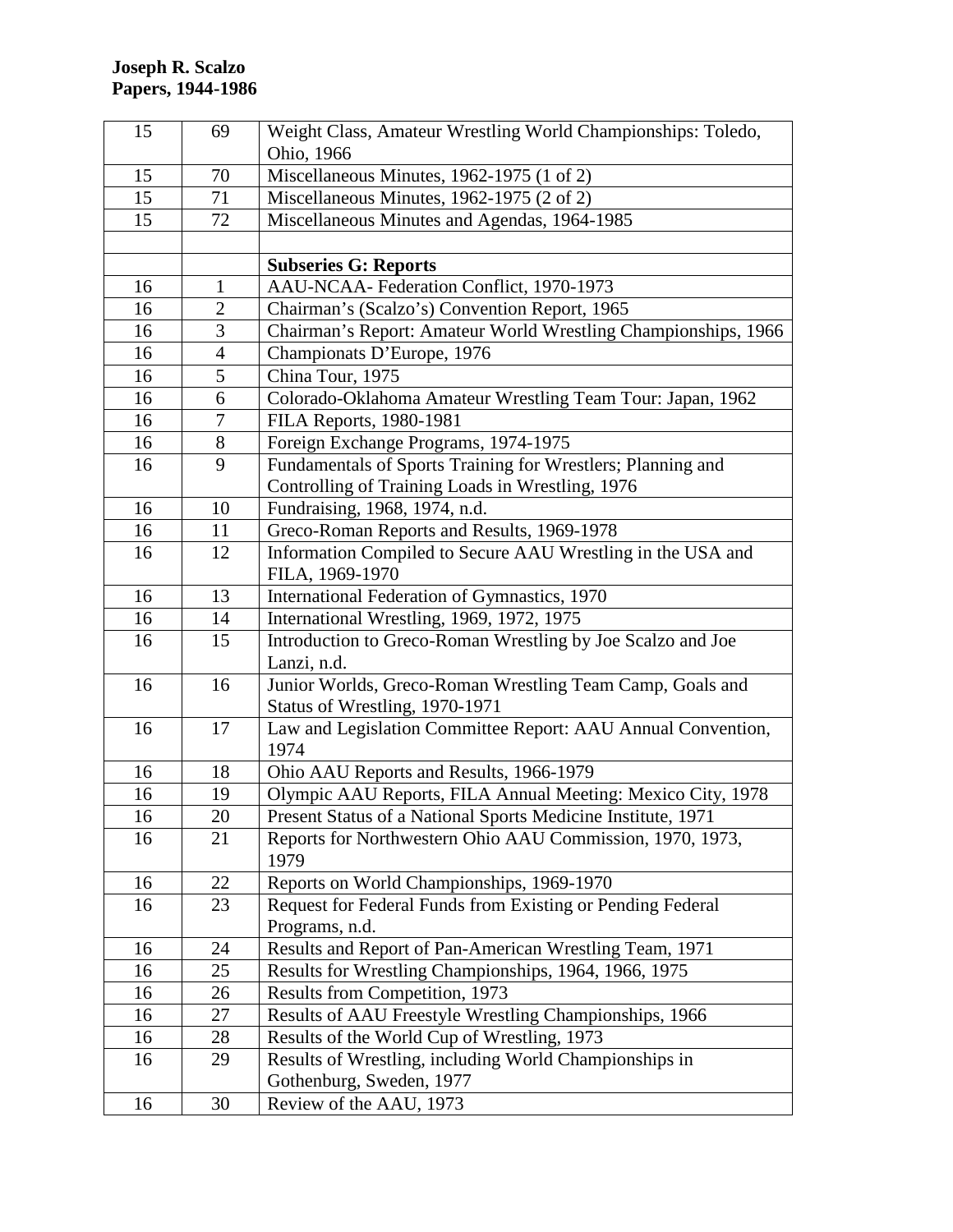| 15 | 69             | Weight Class, Amateur Wrestling World Championships: Toledo,      |
|----|----------------|-------------------------------------------------------------------|
|    |                | Ohio, 1966                                                        |
| 15 | 70             | Miscellaneous Minutes, 1962-1975 (1 of 2)                         |
| 15 | 71             | Miscellaneous Minutes, 1962-1975 (2 of 2)                         |
| 15 | 72             | Miscellaneous Minutes and Agendas, 1964-1985                      |
|    |                |                                                                   |
|    |                | <b>Subseries G: Reports</b>                                       |
| 16 | $\mathbf{1}$   | AAU-NCAA- Federation Conflict, 1970-1973                          |
| 16 | $\overline{2}$ | Chairman's (Scalzo's) Convention Report, 1965                     |
| 16 | 3              | Chairman's Report: Amateur World Wrestling Championships, 1966    |
| 16 | 4              | Championats D'Europe, 1976                                        |
| 16 | 5              | China Tour, 1975                                                  |
| 16 | 6              | Colorado-Oklahoma Amateur Wrestling Team Tour: Japan, 1962        |
| 16 | 7              | FILA Reports, 1980-1981                                           |
| 16 | 8              | Foreign Exchange Programs, 1974-1975                              |
| 16 | 9              | Fundamentals of Sports Training for Wrestlers; Planning and       |
|    |                | Controlling of Training Loads in Wrestling, 1976                  |
| 16 | 10             | Fundraising, 1968, 1974, n.d.                                     |
| 16 | 11             | Greco-Roman Reports and Results, 1969-1978                        |
| 16 | 12             | Information Compiled to Secure AAU Wrestling in the USA and       |
|    |                | FILA, 1969-1970                                                   |
| 16 | 13             | International Federation of Gymnastics, 1970                      |
| 16 | 14             | International Wrestling, 1969, 1972, 1975                         |
| 16 | 15             | Introduction to Greco-Roman Wrestling by Joe Scalzo and Joe       |
|    |                | Lanzi, n.d.                                                       |
| 16 | 16             | Junior Worlds, Greco-Roman Wrestling Team Camp, Goals and         |
|    |                | Status of Wrestling, 1970-1971                                    |
| 16 | 17             | Law and Legislation Committee Report: AAU Annual Convention,      |
|    |                | 1974                                                              |
| 16 | 18             | Ohio AAU Reports and Results, 1966-1979                           |
| 16 | 19             | Olympic AAU Reports, FILA Annual Meeting: Mexico City, 1978       |
| 16 | 20             | Present Status of a National Sports Medicine Institute, 1971      |
| 16 | 21             | Reports for Northwestern Ohio AAU Commission, 1970, 1973,<br>1979 |
| 16 | 22             | Reports on World Championships, 1969-1970                         |
| 16 | 23             | Request for Federal Funds from Existing or Pending Federal        |
|    |                | Programs, n.d.                                                    |
| 16 | 24             | Results and Report of Pan-American Wrestling Team, 1971           |
| 16 | 25             | Results for Wrestling Championships, 1964, 1966, 1975             |
| 16 | 26             | Results from Competition, 1973                                    |
| 16 | 27             | Results of AAU Freestyle Wrestling Championships, 1966            |
| 16 | 28             | Results of the World Cup of Wrestling, 1973                       |
| 16 | 29             | Results of Wrestling, including World Championships in            |
|    |                | Gothenburg, Sweden, 1977                                          |
| 16 | 30             | Review of the AAU, 1973                                           |